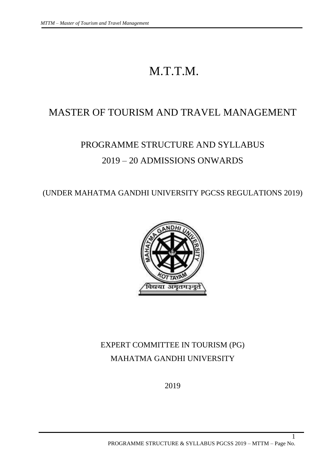# M.T.T.M.

# MASTER OF TOURISM AND TRAVEL MANAGEMENT

# PROGRAMME STRUCTURE AND SYLLABUS 2019 – 20 ADMISSIONS ONWARDS

(UNDER MAHATMA GANDHI UNIVERSITY PGCSS REGULATIONS 2019)



# EXPERT COMMITTEE IN TOURISM (PG) MAHATMA GANDHI UNIVERSITY

2019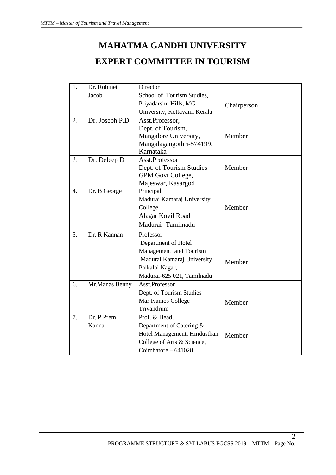# **MAHATMA GANDHI UNIVERSITY EXPERT COMMITTEE IN TOURISM**

| 1.               | Dr. Robinet     | Director                     |             |
|------------------|-----------------|------------------------------|-------------|
|                  | Jacob           | School of Tourism Studies,   |             |
|                  |                 | Priyadarsini Hills, MG       | Chairperson |
|                  |                 | University, Kottayam, Kerala |             |
| 2.               | Dr. Joseph P.D. | Asst.Professor,              |             |
|                  |                 | Dept. of Tourism,            |             |
|                  |                 | Mangalore University,        | Member      |
|                  |                 | Mangalagangothri-574199,     |             |
|                  |                 | Karnataka                    |             |
| 3.               | Dr. Deleep D    | Asst.Professor               |             |
|                  |                 | Dept. of Tourism Studies     | Member      |
|                  |                 | GPM Govt College,            |             |
|                  |                 | Majeswar, Kasargod           |             |
| $\overline{4}$ . | Dr. B George    | Principal                    |             |
|                  |                 | Madurai Kamaraj University   |             |
|                  |                 | College,                     | Member      |
|                  |                 | Alagar Kovil Road            |             |
|                  |                 | Madurai-Tamilnadu            |             |
| 5.               | Dr. R Kannan    | Professor                    |             |
|                  |                 | Department of Hotel          |             |
|                  |                 | Management and Tourism       |             |
|                  |                 | Madurai Kamaraj University   | Member      |
|                  |                 | Palkalai Nagar,              |             |
|                  |                 | Madurai-625 021, Tamilnadu   |             |
| 6.               | Mr.Manas Benny  | Asst.Professor               |             |
|                  |                 | Dept. of Tourism Studies     |             |
|                  |                 | Mar Ivanios College          | Member      |
|                  |                 | Trivandrum                   |             |
| 7.               | Dr. P Prem      | Prof. & Head,                |             |
|                  | Kanna           | Department of Catering &     |             |
|                  |                 | Hotel Management, Hindusthan | Member      |
|                  |                 | College of Arts & Science,   |             |
|                  |                 | Coimbatore - 641028          |             |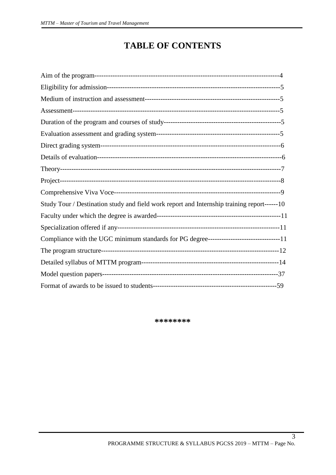# **TABLE OF CONTENTS**

| Study Tour / Destination study and field work report and Internship training report------10 |  |
|---------------------------------------------------------------------------------------------|--|
|                                                                                             |  |
|                                                                                             |  |
| Compliance with the UGC minimum standards for PG degree--------------------------------11   |  |
|                                                                                             |  |
|                                                                                             |  |
|                                                                                             |  |
|                                                                                             |  |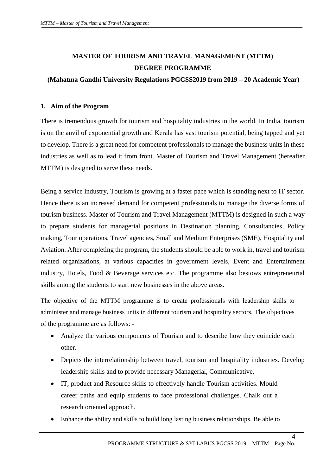# **MASTER OF TOURISM AND TRAVEL MANAGEMENT (MTTM) DEGREE PROGRAMME**

# **(Mahatma Gandhi University Regulations PGCSS2019 from 2019 – 20 Academic Year)**

# **1. Aim of the Program**

There is tremendous growth for tourism and hospitality industries in the world. In India, tourism is on the anvil of exponential growth and Kerala has vast tourism potential, being tapped and yet to develop. There is a great need for competent professionals to manage the business units in these industries as well as to lead it from front. Master of Tourism and Travel Management (hereafter MTTM) is designed to serve these needs.

Being a service industry, Tourism is growing at a faster pace which is standing next to IT sector. Hence there is an increased demand for competent professionals to manage the diverse forms of tourism business. Master of Tourism and Travel Management (MTTM) is designed in such a way to prepare students for managerial positions in Destination planning, Consultancies, Policy making, Tour operations, Travel agencies, Small and Medium Enterprises (SME), Hospitality and Aviation. After completing the program, the students should be able to work in, travel and tourism related organizations, at various capacities in government levels, Event and Entertainment industry, Hotels, Food & Beverage services etc. The programme also bestows entrepreneurial skills among the students to start new businesses in the above areas.

The objective of the MTTM programme is to create professionals with leadership skills to administer and manage business units in different tourism and hospitality sectors. The objectives of the programme are as follows: -

- Analyze the various components of Tourism and to describe how they coincide each other.
- Depicts the interrelationship between travel, tourism and hospitality industries. Develop leadership skills and to provide necessary Managerial, Communicative,
- IT, product and Resource skills to effectively handle Tourism activities. Mould career paths and equip students to face professional challenges. Chalk out a research oriented approach.
- Enhance the ability and skills to build long lasting business relationships. Be able to

 $\overline{4}$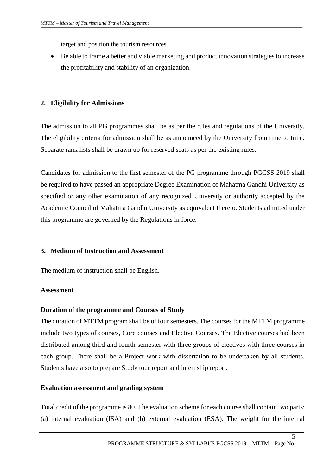target and position the tourism resources.

 Be able to frame a better and viable marketing and product innovation strategies to increase the profitability and stability of an organization.

# **2. Eligibility for Admissions**

The admission to all PG programmes shall be as per the rules and regulations of the University. The eligibility criteria for admission shall be as announced by the University from time to time. Separate rank lists shall be drawn up for reserved seats as per the existing rules.

Candidates for admission to the first semester of the PG programme through PGCSS 2019 shall be required to have passed an appropriate Degree Examination of Mahatma Gandhi University as specified or any other examination of any recognized University or authority accepted by the Academic Council of Mahatma Gandhi University as equivalent thereto. Students admitted under this programme are governed by the Regulations in force.

# **3. Medium of Instruction and Assessment**

The medium of instruction shall be English.

# **Assessment**

# **Duration of the programme and Courses of Study**

The duration of MTTM program shall be of four semesters. The courses for the MTTM programme include two types of courses, Core courses and Elective Courses. The Elective courses had been distributed among third and fourth semester with three groups of electives with three courses in each group. There shall be a Project work with dissertation to be undertaken by all students. Students have also to prepare Study tour report and internship report.

# **Evaluation assessment and grading system**

Total credit of the programme is 80. The evaluation scheme for each course shall contain two parts: (a) internal evaluation (ISA) and (b) external evaluation (ESA). The weight for the internal

 $\overline{\mathbf{5}}$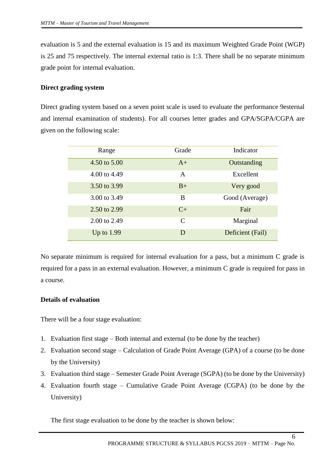evaluation is 5 and the external evaluation is 15 and its maximum Weighted Grade Point (WGP) is 25 and 75 respectively. The internal external ratio is 1:3. There shall be no separate minimum grade point for internal evaluation.

# **Direct grading system**

Direct grading system based on a seven point scale is used to evaluate the performance 9esternal and internal examination of students). For all courses letter grades and GPA/SGPA/CGPA are given on the following scale:

| Range        | Grade         | Indicator        |
|--------------|---------------|------------------|
| 4.50 to 5.00 | $A+$          | Outstanding      |
| 4.00 to 4.49 | $\mathsf{A}$  | Excellent        |
| 3.50 to 3.99 | $B+$          | Very good        |
| 3.00 to 3.49 | B             | Good (Average)   |
| 2.50 to 2.99 | $C_{\pm}$     | Fair             |
| 2.00 to 2.49 | $\mathcal{C}$ | Marginal         |
| Up to $1.99$ | D             | Deficient (Fail) |

No separate minimum is required for internal evaluation for a pass, but a minimum C grade is required for a pass in an external evaluation. However, a minimum C grade is required for pass in a course.

# **Details of evaluation**

There will be a four stage evaluation:

- 1. Evaluation first stage Both internal and external (to be done by the teacher)
- 2. Evaluation second stage Calculation of Grade Point Average (GPA) of a course (to be done by the University)
- 3. Evaluation third stage Semester Grade Point Average (SGPA) (to be done by the University)
- 4. Evaluation fourth stage Cumulative Grade Point Average (CGPA) (to be done by the University)

The first stage evaluation to be done by the teacher is shown below: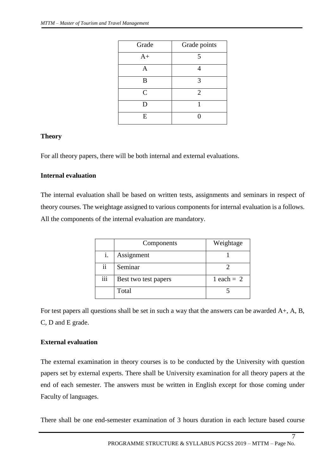| Grade        | Grade points   |
|--------------|----------------|
| $A+$         | $\overline{5}$ |
| A            |                |
| B            |                |
| $\mathsf{C}$ | $\overline{2}$ |
| D            |                |
| E            |                |

# **Theory**

For all theory papers, there will be both internal and external evaluations.

# **Internal evaluation**

The internal evaluation shall be based on written tests, assignments and seminars in respect of theory courses. The weightage assigned to various components for internal evaluation is a follows. All the components of the internal evaluation are mandatory.

|     | Weightage<br>Components |              |
|-----|-------------------------|--------------|
|     | Assignment              |              |
| ii  | Seminar                 |              |
| iii | Best two test papers    | 1 each = $2$ |
|     | Total                   |              |

For test papers all questions shall be set in such a way that the answers can be awarded A+, A, B, C, D and E grade.

# **External evaluation**

The external examination in theory courses is to be conducted by the University with question papers set by external experts. There shall be University examination for all theory papers at the end of each semester. The answers must be written in English except for those coming under Faculty of languages.

There shall be one end-semester examination of 3 hours duration in each lecture based course

 $\overline{7}$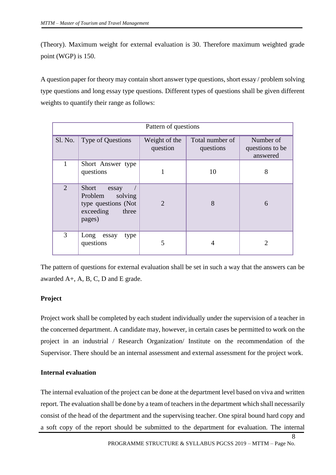(Theory). Maximum weight for external evaluation is 30. Therefore maximum weighted grade point (WGP) is 150.

A question paper for theory may contain short answer type questions, short essay / problem solving type questions and long essay type questions. Different types of questions shall be given different weights to quantify their range as follows:

| Pattern of questions |                                                                                             |                           |                              |                                          |
|----------------------|---------------------------------------------------------------------------------------------|---------------------------|------------------------------|------------------------------------------|
| SI. No.              | Type of Questions                                                                           | Weight of the<br>question | Total number of<br>questions | Number of<br>questions to be<br>answered |
|                      | Short Answer type<br>questions                                                              | 1                         | 10                           | 8                                        |
| $\overline{2}$       | Short<br>essay<br>Problem<br>solving<br>type questions (Not<br>exceeding<br>three<br>pages) | $\overline{2}$            | 8                            | 6                                        |
| 3                    | Long<br>essay<br>type<br>questions                                                          | 5                         |                              | $\mathcal{D}_{\mathcal{A}}$              |

The pattern of questions for external evaluation shall be set in such a way that the answers can be awarded A+, A, B, C, D and E grade.

# **Project**

Project work shall be completed by each student individually under the supervision of a teacher in the concerned department. A candidate may, however, in certain cases be permitted to work on the project in an industrial / Research Organization/ Institute on the recommendation of the Supervisor. There should be an internal assessment and external assessment for the project work.

# **Internal evaluation**

The internal evaluation of the project can be done at the department level based on viva and written report. The evaluation shall be done by a team of teachers in the department which shall necessarily consist of the head of the department and the supervising teacher. One spiral bound hard copy and a soft copy of the report should be submitted to the department for evaluation. The internal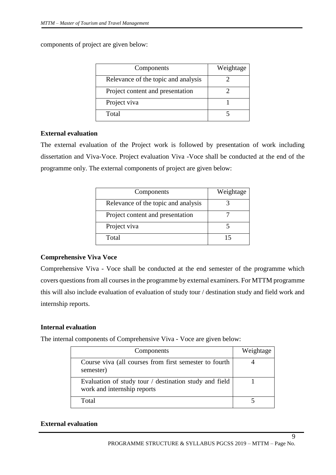components of project are given below:

| Components                          | Weightage |
|-------------------------------------|-----------|
| Relevance of the topic and analysis |           |
| Project content and presentation    |           |
| Project viva                        |           |
| Total                               |           |

# **External evaluation**

The external evaluation of the Project work is followed by presentation of work including dissertation and Viva-Voce. Project evaluation Viva -Voce shall be conducted at the end of the programme only. The external components of project are given below:

| Components                          | Weightage |
|-------------------------------------|-----------|
| Relevance of the topic and analysis |           |
| Project content and presentation    |           |
| Project viva                        |           |
| Total                               | 15        |

# **Comprehensive Viva Voce**

Comprehensive Viva - Voce shall be conducted at the end semester of the programme which covers questions from all courses in the programme by external examiners. For MTTM programme this will also include evaluation of evaluation of study tour / destination study and field work and internship reports.

# **Internal evaluation**

The internal components of Comprehensive Viva - Voce are given below:

| Components                                                                            | Weightage |
|---------------------------------------------------------------------------------------|-----------|
| Course viva (all courses from first semester to fourth<br>semester)                   |           |
| Evaluation of study tour / destination study and field<br>work and internship reports |           |
| Total                                                                                 |           |

# **External evaluation**

 $\overline{Q}$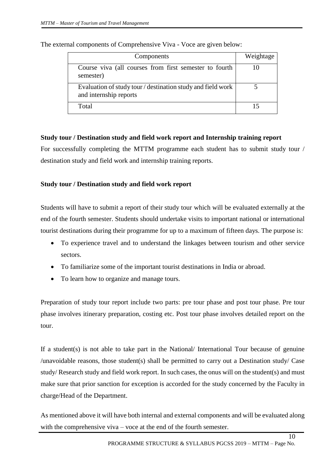| Components                                                                            | Weightage |
|---------------------------------------------------------------------------------------|-----------|
| Course viva (all courses from first semester to fourth<br>semester)                   |           |
| Evaluation of study tour / destination study and field work<br>and internship reports |           |
| Total                                                                                 |           |

The external components of Comprehensive Viva - Voce are given below:

# **Study tour / Destination study and field work report and Internship training report**

For successfully completing the MTTM programme each student has to submit study tour / destination study and field work and internship training reports.

# **Study tour / Destination study and field work report**

Students will have to submit a report of their study tour which will be evaluated externally at the end of the fourth semester. Students should undertake visits to important national or international tourist destinations during their programme for up to a maximum of fifteen days. The purpose is:

- To experience travel and to understand the linkages between tourism and other service sectors.
- To familiarize some of the important tourist destinations in India or abroad.
- To learn how to organize and manage tours.

Preparation of study tour report include two parts: pre tour phase and post tour phase. Pre tour phase involves itinerary preparation, costing etc. Post tour phase involves detailed report on the tour.

If a student(s) is not able to take part in the National/ International Tour because of genuine /unavoidable reasons, those student(s) shall be permitted to carry out a Destination study/ Case study/ Research study and field work report. In such cases, the onus will on the student(s) and must make sure that prior sanction for exception is accorded for the study concerned by the Faculty in charge/Head of the Department.

As mentioned above it will have both internal and external components and will be evaluated along with the comprehensive viva – voce at the end of the fourth semester.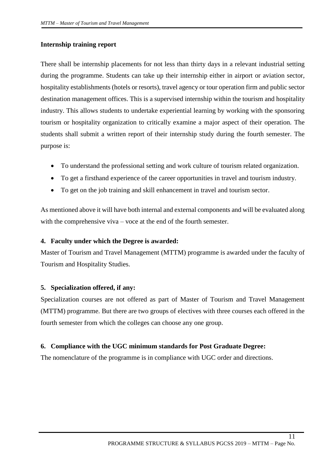# **Internship training report**

There shall be internship placements for not less than thirty days in a relevant industrial setting during the programme. Students can take up their internship either in airport or aviation sector, hospitality establishments (hotels or resorts), travel agency or tour operation firm and public sector destination management offices. This is a supervised internship within the tourism and hospitality industry. This allows students to undertake experiential learning by working with the sponsoring tourism or hospitality organization to critically examine a major aspect of their operation. The students shall submit a written report of their internship study during the fourth semester. The purpose is:

- To understand the professional setting and work culture of tourism related organization.
- To get a firsthand experience of the career opportunities in travel and tourism industry.
- To get on the job training and skill enhancement in travel and tourism sector.

As mentioned above it will have both internal and external components and will be evaluated along with the comprehensive viva – voce at the end of the fourth semester.

# **4. Faculty under which the Degree is awarded:**

Master of Tourism and Travel Management (MTTM) programme is awarded under the faculty of Tourism and Hospitality Studies.

# **5. Specialization offered, if any:**

Specialization courses are not offered as part of Master of Tourism and Travel Management (MTTM) programme. But there are two groups of electives with three courses each offered in the fourth semester from which the colleges can choose any one group.

# **6. Compliance with the UGC minimum standards for Post Graduate Degree:**

The nomenclature of the programme is in compliance with UGC order and directions.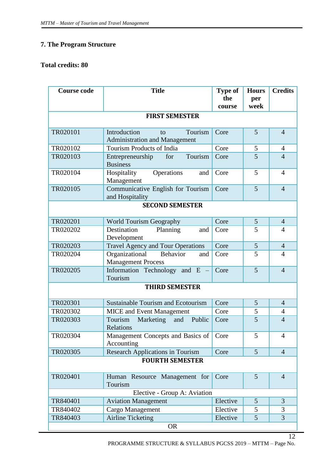# **7. The Program Structure**

# **Total credits: 80**

| <b>Course code</b>     | <b>Title</b>                                                          | <b>Type of</b><br>the<br>course | <b>Hours</b><br>per<br>week | <b>Credits</b> |  |  |
|------------------------|-----------------------------------------------------------------------|---------------------------------|-----------------------------|----------------|--|--|
|                        | <b>FIRST SEMESTER</b>                                                 |                                 |                             |                |  |  |
| TR020101               | Introduction<br>Tourism<br>to<br><b>Administration and Management</b> | Core                            | 5                           | $\overline{4}$ |  |  |
| TR020102               | Tourism Products of India                                             | Core                            | 5                           | $\overline{4}$ |  |  |
| TR020103               | Tourism<br>for<br>Entrepreneurship<br><b>Business</b>                 | Core                            | 5                           | $\overline{4}$ |  |  |
| TR020104               | Operations<br>Hospitality<br>and<br>Management                        | Core                            | 5                           | $\overline{4}$ |  |  |
| TR020105               | Communicative English for Tourism<br>and Hospitality                  | Core                            | 5                           | $\overline{4}$ |  |  |
|                        | <b>SECOND SEMESTER</b>                                                |                                 |                             |                |  |  |
| TR020201               | <b>World Tourism Geography</b>                                        | Core                            | 5                           | $\overline{4}$ |  |  |
| TR020202               | Destination<br>Planning<br>and<br>Development                         | Core                            | 5                           | $\overline{4}$ |  |  |
| TR020203               | <b>Travel Agency and Tour Operations</b>                              | Core                            | 5                           | $\overline{4}$ |  |  |
| TR020204               | Organizational<br>Behavior<br>and<br><b>Management Process</b>        | Core                            | 5                           | $\overline{4}$ |  |  |
| TR020205               | Information Technology and E -<br>Tourism                             | Core                            | 5                           | $\overline{4}$ |  |  |
|                        | <b>THIRD SEMESTER</b>                                                 |                                 |                             |                |  |  |
| TR020301               | <b>Sustainable Tourism and Ecotourism</b>                             | Core                            | 5                           | $\overline{4}$ |  |  |
| TR020302               | <b>MICE</b> and Event Management                                      | Core                            | 5                           | 4              |  |  |
| TR020303               | and<br>Public<br>Tourism<br>Marketing<br>Relations                    | Core                            | 5                           | $\overline{4}$ |  |  |
| TR020304               | Management Concepts and Basics of<br>Accounting                       | Core                            | 5                           | $\overline{4}$ |  |  |
| TR020305               | <b>Research Applications in Tourism</b>                               | Core                            | 5                           | $\overline{4}$ |  |  |
| <b>FOURTH SEMESTER</b> |                                                                       |                                 |                             |                |  |  |
| TR020401               | Human Resource Management for<br>Tourism                              | Core                            | 5                           | $\overline{4}$ |  |  |
|                        | Elective - Group A: Aviation                                          |                                 |                             |                |  |  |
| TR840401               | <b>Aviation Management</b>                                            | Elective                        | 5                           | 3              |  |  |
| TR840402               | Cargo Management                                                      | Elective                        | 5                           | 3              |  |  |
| TR840403               | <b>Airline Ticketing</b>                                              | Elective                        | 5                           | 3              |  |  |
| <b>OR</b>              |                                                                       |                                 |                             |                |  |  |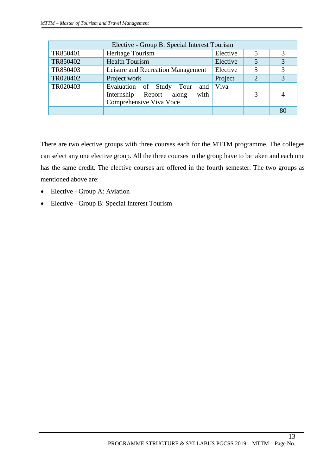| Elective - Group B: Special Interest Tourism |                                                                                                    |          |   |    |  |
|----------------------------------------------|----------------------------------------------------------------------------------------------------|----------|---|----|--|
| TR850401                                     | Heritage Tourism                                                                                   | Elective | 5 | 3  |  |
| TR850402                                     | <b>Health Tourism</b>                                                                              | Elective |   | 3  |  |
| TR850403                                     | Leisure and Recreation Management                                                                  | Elective | 5 | 3  |  |
| TR020402                                     | Project work                                                                                       | Project  | 2 |    |  |
| TR020403                                     | Evaluation of Study Tour<br>and  <br>Report along<br>with<br>Internship<br>Comprehensive Viva Voce | Viva     | 3 |    |  |
|                                              |                                                                                                    |          |   | 80 |  |

There are two elective groups with three courses each for the MTTM programme. The colleges can select any one elective group. All the three courses in the group have to be taken and each one has the same credit. The elective courses are offered in the fourth semester. The two groups as mentioned above are:

- Elective Group A: Aviation
- Elective Group B: Special Interest Tourism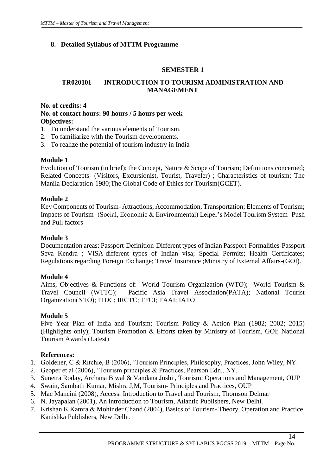# **8. Detailed Syllabus of MTTM Programme**

# **SEMESTER 1**

# **TR020101 INTRODUCTION TO TOURISM ADMINISTRATION AND MANAGEMENT**

# **No. of credits: 4 No. of contact hours: 90 hours / 5 hours per week Objectives:**

- 1. To understand the various elements of Tourism.
- 2. To familiarize with the Tourism developments.
- 3. To realize the potential of tourism industry in India

# **Module 1**

Evolution of Tourism (in brief); the Concept, Nature & Scope of Tourism; Definitions concerned; Related Concepts- (Visitors, Excursionist, Tourist, Traveler) ; Characteristics of tourism; The Manila Declaration-1980;The Global Code of Ethics for Tourism(GCET).

# **Module 2**

Key Components of Tourism- Attractions, Accommodation, Transportation; Elements of Tourism; Impacts of Tourism- (Social, Economic & Environmental) Leiper's Model Tourism System- Push and Pull factors

# **Module 3**

Documentation areas: Passport-Definition-Different types of Indian Passport-Formalities-Passport Seva Kendra ; VISA-different types of Indian visa; Special Permits; Health Certificates; Regulations regarding Foreign Exchange; Travel Insurance ;Ministry of External Affairs-(GOI).

# **Module 4**

Aims, Objectives & Functions of:- World Tourism Organization (WTO); World Tourism & Travel Council (WTTC); Pacific Asia Travel Association(PATA); National Tourist Organization(NTO); ITDC; IRCTC; TFCI; TAAI; IATO

# **Module 5**

Five Year Plan of India and Tourism; Tourism Policy & Action Plan (1982; 2002; 2015) (Highlights only); Tourism Promotion & Efforts taken by Ministry of Tourism, GOI; National Tourism Awards (Latest)

# **References:**

- 1. Goldener, C & Ritchie, B (2006), 'Tourism Principles, Philosophy, Practices, John Wiley, NY.
- 2. Geoper et al (2006), 'Tourism principles & Practices, Pearson Edn., NY.
- 3. Sunetra Roday, Archana Biwal & Vandana Joshi , Tourism: Operations and Management, OUP
- 4. Swain, Sambath Kumar, Mishra J,M, Tourism- Principles and Practices, OUP
- 5. Mac Mancini (2008), Access: Introduction to Travel and Tourism, Thomson Delmar
- 6. N. Jayapalan (2001), An introduction to Tourism, Atlantic Publishers, New Delhi.
- 7. Krishan K Kamra & Mohinder Chand (2004), Basics of Tourism- Theory, Operation and Practice, Kanishka Publishers, New Delhi.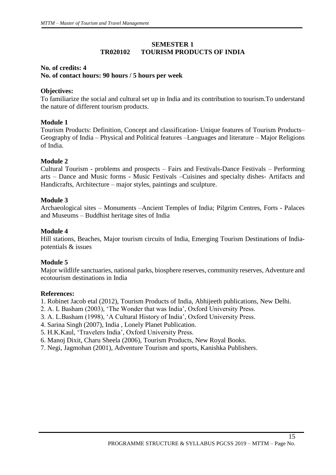# **SEMESTER 1 TR020102 TOURISM PRODUCTS OF INDIA**

# **No. of credits: 4 No. of contact hours: 90 hours / 5 hours per week**

# **Objectives:**

To familiarize the social and cultural set up in India and its contribution to tourism.To understand the nature of different tourism products.

# **Module 1**

Tourism Products: Definition, Concept and classification- Unique features of Tourism Products– Geography of India – Physical and Political features –Languages and literature – Major Religions of India.

# **Module 2**

Cultural Tourism - problems and prospects – Fairs and Festivals-Dance Festivals – Performing arts – Dance and Music forms - Music Festivals –Cuisines and specialty dishes- Artifacts and Handicrafts, Architecture – major styles, paintings and sculpture.

# **Module 3**

Archaeological sites – Monuments –Ancient Temples of India; Pilgrim Centres, Forts - Palaces and Museums – Buddhist heritage sites of India

# **Module 4**

Hill stations, Beaches, Major tourism circuits of India, Emerging Tourism Destinations of Indiapotentials & issues

# **Module 5**

Major wildlife sanctuaries, national parks, biosphere reserves, community reserves, Adventure and ecotourism destinations in India

# **References:**

1. Robinet Jacob etal (2012), Tourism Products of India, Abhijeeth publications, New Delhi.

- 2. A. L Basham (2003), 'The Wonder that was India', Oxford University Press.
- 3. A. L.Basham (1998), 'A Cultural History of India', Oxford University Press.
- 4. Sarina Singh (2007), India , Lonely Planet Publication.
- 5. H.K.Kaul, 'Travelers India', Oxford University Press.
- 6. Manoj Dixit, Charu Sheela (2006), Tourism Products, New Royal Books.
- 7. Negi, Jagmohan (2001), Adventure Tourism and sports, Kanishka Publishers.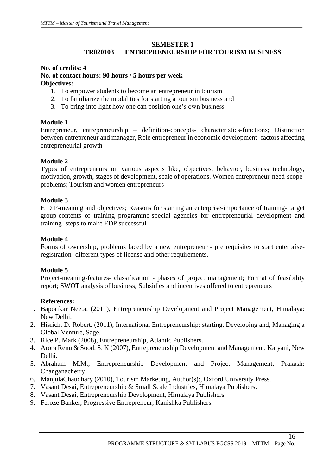# **SEMESTER 1**

# **TR020103 ENTREPRENEURSHIP FOR TOURISM BUSINESS**

#### **No. of credits: 4 No. of contact hours: 90 hours / 5 hours per week Objectives:**

- 1. To empower students to become an entrepreneur in tourism
- 2. To familiarize the modalities for starting a tourism business and
- 3. To bring into light how one can position one's own business

# **Module 1**

Entrepreneur, entrepreneurship – definition-concepts- characteristics-functions; Distinction between entrepreneur and manager, Role entrepreneur in economic development- factors affecting entrepreneurial growth

# **Module 2**

Types of entrepreneurs on various aspects like, objectives, behavior, business technology, motivation, growth, stages of development, scale of operations. Women entrepreneur-need-scopeproblems; Tourism and women entrepreneurs

# **Module 3**

E D P-meaning and objectives; Reasons for starting an enterprise-importance of training- target group-contents of training programme-special agencies for entrepreneurial development and training- steps to make EDP successful

# **Module 4**

Forms of ownership, problems faced by a new entrepreneur - pre requisites to start enterpriseregistration- different types of license and other requirements.

# **Module 5**

Project-meaning-features- classification - phases of project management; Format of feasibility report; SWOT analysis of business; Subsidies and incentives offered to entrepreneurs

# **References:**

- 1. Baporikar Neeta. (2011), Entrepreneurship Development and Project Management, Himalaya: New Delhi.
- 2. Hisrich. D. Robert. (2011), International Entrepreneurship: starting, Developing and, Managing a Global Venture, Sage.
- 3. Rice P. Mark (2008), Entrepreneurship, Atlantic Publishers.
- 4. Arora Renu & Sood. S. K (2007), Entrepreneurship Development and Management, Kalyani, New Delhi.
- 5. Abraham M.M., Entrepreneurship Development and Project Management, Prakash: Changanacherry.
- 6. ManjulaChaudhary (2010), Tourism Marketing, Author(s):, Oxford University Press.
- 7. Vasant Desai, Entrepreneurship & Small Scale Industries, Himalaya Publishers.
- 8. Vasant Desai, Entrepreneurship Development, Himalaya Publishers.
- 9. Feroze Banker, Progressive Entrepreneur, Kanishka Publishers.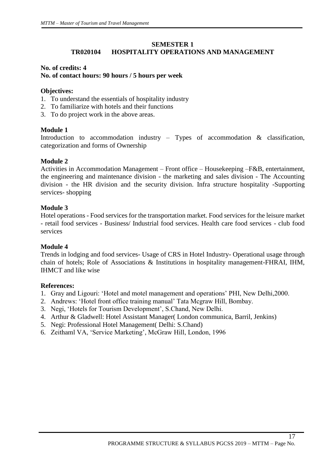# **SEMESTER 1 TR020104 HOSPITALITY OPERATIONS AND MANAGEMENT**

# **No. of credits: 4 No. of contact hours: 90 hours / 5 hours per week**

#### **Objectives:**

- 1. To understand the essentials of hospitality industry
- 2. To familiarize with hotels and their functions
- 3. To do project work in the above areas.

# **Module 1**

Introduction to accommodation industry – Types of accommodation & classification, categorization and forms of Ownership

# **Module 2**

Activities in Accommodation Management – Front office – Housekeeping –F&B, entertainment, the engineering and maintenance division - the marketing and sales division - The Accounting division - the HR division and the security division. Infra structure hospitality -Supporting services- shopping

# **Module 3**

Hotel operations - Food services for the transportation market. Food services for the leisure market - retail food services - Business/ Industrial food services. Health care food services - club food services

# **Module 4**

Trends in lodging and food services- Usage of CRS in Hotel Industry- Operational usage through chain of hotels; Role of Associations & Institutions in hospitality management-FHRAI, IHM, IHMCT and like wise

# **References:**

- 1. Gray and Ligouri: 'Hotel and motel management and operations' PHI, New Delhi,2000.
- 2. Andrews: 'Hotel front office training manual' Tata Mcgraw Hill, Bombay.
- 3. Negi, 'Hotels for Tourism Development', S.Chand, New Delhi.
- 4. Arthur & Gladwell: Hotel Assistant Manager( London communica, Barril, Jenkins)
- 5. Negi: Professional Hotel Management( Delhi: S.Chand)
- 6. Zeithaml VA, 'Service Marketing', McGraw Hill, London, 1996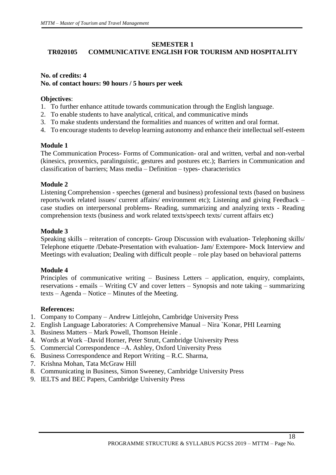# **SEMESTER 1**

# **TR020105 COMMUNICATIVE ENGLISH FOR TOURISM AND HOSPITALITY**

# **No. of credits: 4 No. of contact hours: 90 hours / 5 hours per week**

#### **Objectives**:

- 1. To further enhance attitude towards communication through the English language.
- 2. To enable students to have analytical, critical, and communicative minds
- 3. To make students understand the formalities and nuances of written and oral format.
- 4. To encourage students to develop learning autonomy and enhance their intellectual self-esteem

# **Module 1**

The Communication Process- Forms of Communication- oral and written, verbal and non-verbal (kinesics, proxemics, paralinguistic, gestures and postures etc.); Barriers in Communication and classification of barriers; Mass media – Definition – types- characteristics

# **Module 2**

Listening Comprehension - speeches (general and business) professional texts (based on business reports/work related issues/ current affairs/ environment etc); Listening and giving Feedback – case studies on interpersonal problems- Reading, summarizing and analyzing texts - Reading comprehension texts (business and work related texts/speech texts/ current affairs etc)

# **Module 3**

Speaking skills – reiteration of concepts- Group Discussion with evaluation- Telephoning skills/ Telephone etiquette /Debate-Presentation with evaluation- Jam/ Extempore- Mock Interview and Meetings with evaluation; Dealing with difficult people – role play based on behavioral patterns

# **Module 4**

Principles of communicative writing – Business Letters – application, enquiry, complaints, reservations - emails – Writing CV and cover letters – Synopsis and note taking – summarizing texts – Agenda – Notice – Minutes of the Meeting.

# **References:**

- 1. Company to Company Andrew Littlejohn, Cambridge University Press
- 2. English Language Laboratories: A Comprehensive Manual Nira `Konar, PHI Learning
- 3. Business Matters Mark Powell, Thomson Heinle .
- 4. Words at Work –David Horner, Peter Strutt, Cambridge University Press
- 5. Commercial Correspondence –A. Ashley, Oxford University Press
- 6. Business Correspondence and Report Writing R.C. Sharma,
- 7. Krishna Mohan, Tata McGraw Hill
- 8. Communicating in Business, Simon Sweeney, Cambridge University Press
- 9. IELTS and BEC Papers, Cambridge University Press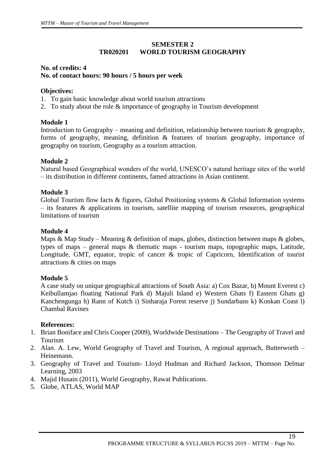# **SEMESTER 2 TR020201 WORLD TOURISM GEOGRAPHY**

# **No. of credits: 4 No. of contact hours: 90 hours / 5 hours per week**

# **Objectives:**

- 1. To gain basic knowledge about world tourism attractions
- 2. To study about the role & importance of geography in Tourism development

# **Module 1**

Introduction to Geography – meaning and definition, relationship between tourism  $\&$  geography, forms of geography, meaning, definition & features of tourism geography, importance of geography on tourism, Geography as a tourism attraction.

# **Module 2**

Natural based Geographical wonders of the world, UNESCO's natural heritage sites of the world – its distribution in different continents, famed attractions in Asian continent.

# **Module 3**

Global Tourism flow facts & figures, Global Positioning systems & Global Information systems – its features & applications in tourism, satellite mapping of tourism resources, geographical limitations of tourism

# **Module 4**

Maps & Map Study – Meaning & definition of maps, globes, distinction between maps & globes, types of maps – general maps & thematic maps - tourism maps, topographic maps, Latitude, Longitude, GMT, equator, tropic of cancer & tropic of Capricorn, Identification of tourist attractions & cities on maps

# **Module 5**

A case study on unique geographical attractions of South Asia: a) Cox Bazar, b) Mount Everest c) Keibullamjao floating National Park d) Majuli Island e) Western Ghats f) Eastern Ghats g) Kanchengunga h) Rann of Kutch i) Sinharaja Forest reserve j) Sundarbans k) Konkan Coast l) Chambal Ravines

# **References:**

- 1. Brian Boniface and Chris Cooper (2009), Worldwide Destinations The Geography of Travel and Tourism
- 2. Alan. A. Lew, World Geography of Travel and Tourism, A regional approach, Butterworth Heinemann.
- 3. Geography of Travel and Tourism- Lloyd Hudman and Richard Jackson, Thomson Delmar Learning, 2003
- 4. Majid Husain (2011), World Geography, Rawat Publications.
- 5. Globe, ATLAS, World MAP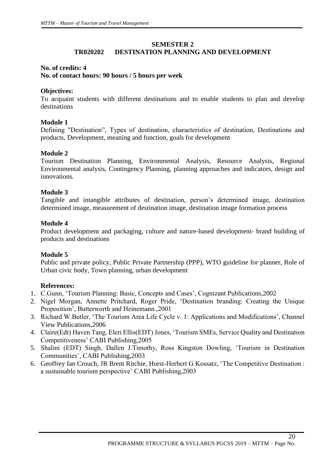# **SEMESTER 2**

# **TR020202 DESTINATION PLANNING AND DEVELOPMENT**

# **No. of credits: 4**

# **No. of contact hours: 90 hours / 5 hours per week**

# **Objectives:**

To acquaint students with different destinations and to enable students to plan and develop destinations

# **Module 1**

Defining "Destination", Types of destination, characteristics of destination, Destinations and products, Development, meaning and function, goals for development

# **Module 2**

Tourism Destination Planning, Environmental Analysis, Resource Analysis, Regional Environmental analysis, Contingency Planning, planning approaches and indicators, design and innovations.

# **Module 3**

Tangible and intangible attributes of destination, person's determined image, destination determined image, measurement of destination image, destination image formation process

# **Module 4**

Product development and packaging, culture and nature-based development- brand building of products and destinations

# **Module 5**

Public and private policy, Public Private Partnership (PPP), WTO guideline for planner, Role of Urban civic body, Town planning, urban development

# **References:**

- 1. C.Gunn, 'Tourism Planning: Basic, Concepts and Cases', Cognizant Publications,2002
- 2. Nigel Morgan, Annette Pritchard, Roger Pride, 'Destination branding: Creating the Unique Proposition', Butterworth and Heinemann.,2001
- 3. Richard W.Butler, 'The Tourism Area Life Cycle v. 1: Applications and Modifications', Channel View Publications,2006
- 4. Claire(Edt) Haven Tang, Eleri Ellis(EDT) Jones, 'Tourism SMEs, Service Quality and Destination Competitiveness' CABI Publishing,2005
- 5. Shalini (EDT) Singh, Dallen J.Timothy, Ross Kingston Dowling, 'Tourism in Destination Communities', CABI Publishing,2003
- 6. Geoffrey Ian Crouch, JR Brent Ritchie, Horst-Herbert G Kossatz, 'The Competitive Destination : a sustainable tourism perspective' CABI Publishing,2003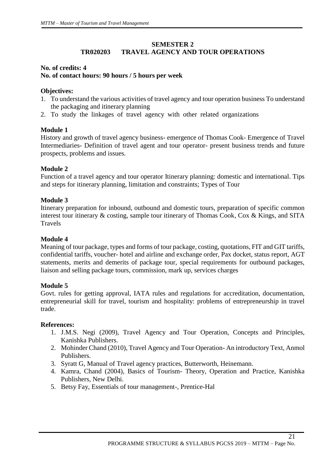# **SEMESTER 2 TR020203 TRAVEL AGENCY AND TOUR OPERATIONS**

# **No. of credits: 4 No. of contact hours: 90 hours / 5 hours per week**

# **Objectives:**

- 1. To understand the various activities of travel agency and tour operation business To understand the packaging and itinerary planning
- 2. To study the linkages of travel agency with other related organizations

# **Module 1**

History and growth of travel agency business- emergence of Thomas Cook- Emergence of Travel Intermediaries- Definition of travel agent and tour operator- present business trends and future prospects, problems and issues.

# **Module 2**

Function of a travel agency and tour operator Itinerary planning: domestic and international. Tips and steps for itinerary planning, limitation and constraints; Types of Tour

# **Module 3**

Itinerary preparation for inbound, outbound and domestic tours, preparation of specific common interest tour itinerary & costing, sample tour itinerary of Thomas Cook, Cox & Kings, and SITA Travels

# **Module 4**

Meaning of tour package, types and forms of tour package, costing, quotations, FIT and GIT tariffs, confidential tariffs, voucher- hotel and airline and exchange order, Pax docket, status report, AGT statements, merits and demerits of package tour, special requirements for outbound packages, liaison and selling package tours, commission, mark up, services charges

# **Module 5**

Govt. rules for getting approval, IATA rules and regulations for accreditation, documentation, entrepreneurial skill for travel, tourism and hospitality: problems of entrepreneurship in travel trade.

# **References:**

- 1. J.M.S. Negi (2009), Travel Agency and Tour Operation, Concepts and Principles, Kanishka Publishers.
- 2. Mohinder Chand (2010), Travel Agency and Tour Operation- An introductory Text, Anmol Publishers.
- 3. Syratt G, Manual of Travel agency practices, Butterworth, Heinemann.
- 4. Kamra, Chand (2004), Basics of Tourism- Theory, Operation and Practice, Kanishka Publishers, New Delhi.
- 5. Betsy Fay, Essentials of tour management-, Prentice-Hal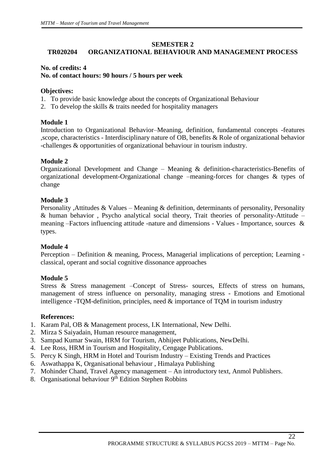#### **SEMESTER 2**

# **TR020204 ORGANIZATIONAL BEHAVIOUR AND MANAGEMENT PROCESS**

#### **No. of credits: 4 No. of contact hours: 90 hours / 5 hours per week**

#### **Objectives:**

- 1. To provide basic knowledge about the concepts of Organizational Behaviour
- 2. To develop the skills & traits needed for hospitality managers

# **Module 1**

Introduction to Organizational Behavior–Meaning, definition, fundamental concepts -features ,scope, characteristics - Interdisciplinary nature of OB, benefits & Role of organizational behavior -challenges & opportunities of organizational behaviour in tourism industry.

# **Module 2**

Organizational Development and Change – Meaning & definition-characteristics-Benefits of organizational development-Organizational change –meaning-forces for changes & types of change

# **Module 3**

Personality ,Attitudes & Values – Meaning & definition, determinants of personality, Personality & human behavior , Psycho analytical social theory, Trait theories of personality-Attitude – meaning –Factors influencing attitude -nature and dimensions - Values - Importance, sources & types.

# **Module 4**

Perception – Definition & meaning, Process, Managerial implications of perception; Learning classical, operant and social cognitive dissonance approaches

# **Module 5**

Stress & Stress management –Concept of Stress- sources, Effects of stress on humans, management of stress influence on personality, managing stress - Emotions and Emotional intelligence -TQM-definition, principles, need & importance of TQM in tourism industry

# **References:**

- 1. Karam Pal, OB & Management process, I.K International, New Delhi.
- 2. Mirza S Saiyadain, Human resource management,
- 3. Sampad Kumar Swain, HRM for Tourism, Abhijeet Publications, NewDelhi.
- 4. Lee Ross, HRM in Tourism and Hospitality, Cengage Publications.
- 5. Percy K Singh, HRM in Hotel and Tourism Industry Existing Trends and Practices
- 6. Aswathappa K, Organisational behaviour , Himalaya Publishing
- 7. Mohinder Chand, Travel Agency management An introductory text, Anmol Publishers.
- 8. Organisational behaviour  $9<sup>th</sup>$  Edition Stephen Robbins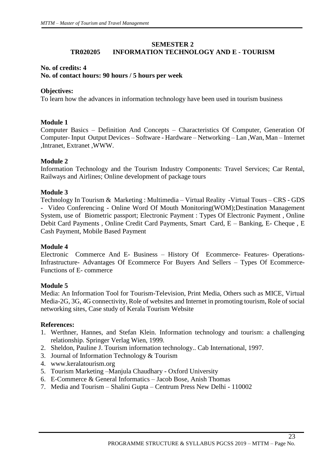# **SEMESTER 2 TR020205 INFORMATION TECHNOLOGY AND E - TOURISM**

#### **No. of credits: 4**

#### **No. of contact hours: 90 hours / 5 hours per week**

#### **Objectives:**

To learn how the advances in information technology have been used in tourism business

# **Module 1**

Computer Basics – Definition And Concepts – Characteristics Of Computer, Generation Of Computer- Input Output Devices – Software - Hardware – Networking – Lan ,Wan, Man – Internet ,Intranet, Extranet ,WWW.

# **Module 2**

Information Technology and the Tourism Industry Components: Travel Services; Car Rental, Railways and Airlines; Online development of package tours

# **Module 3**

Technology In Tourism & Marketing : Multimedia – Virtual Reality -Virtual Tours – CRS - GDS - Video Conferencing - Online Word Of Mouth Monitoring(WOM);Destination Management System, use of Biometric passport; Electronic Payment : Types Of Electronic Payment , Online Debit Card Payments , Online Credit Card Payments, Smart Card, E – Banking, E- Cheque , E Cash Payment, Mobile Based Payment

# **Module 4**

Electronic Commerce And E- Business – History Of Ecommerce- Features- Operations-Infrastructure- Advantages Of Ecommerce For Buyers And Sellers – Types Of Ecommerce-Functions of E- commerce

# **Module 5**

Media: An Information Tool for Tourism-Television, Print Media, Others such as MICE, Virtual Media-2G, 3G, 4G connectivity, Role of websites and Internet in promoting tourism, Role of social networking sites, Case study of Kerala Tourism Website

# **References:**

- 1. Werthner, Hannes, and Stefan Klein. Information technology and tourism: a challenging relationship. Springer Verlag Wien, 1999.
- 2. Sheldon, Pauline J. Tourism information technology.. Cab International, 1997.
- 3. Journal of Information Technology & Tourism
- 4. www.keralatourism.org
- 5. Tourism Marketing –Manjula Chaudhary Oxford University
- 6. E-Commerce & General Informatics Jacob Bose, Anish Thomas
- 7. Media and Tourism Shalini Gupta Centrum Press New Delhi 110002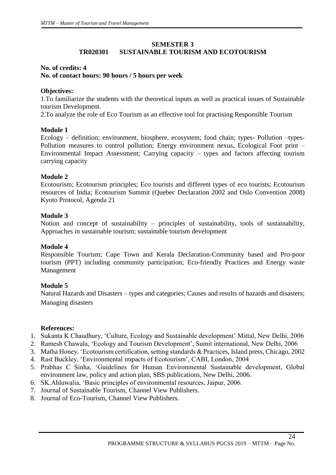# **SEMESTER 3 TR020301 SUSTAINABLE TOURISM AND ECOTOURISM**

# **No. of credits: 4 No. of contact hours: 90 hours / 5 hours per week**

# **Objectives:**

1.To familiarize the students with the theoretical inputs as well as practical issues of Sustainable tourism Development.

2.To analyze the role of Eco Tourism as an effective tool for practising Responsible Tourism

# **Module 1**

Ecology – definition; environment, biosphere, ecosystem; food chain; types- Pollution –types-Pollution measures to control pollution; Energy environment nexus, Ecological Foot print – Environmental Impact Assessment; Carrying capacity – types and factors affecting tourism carrying capacity

# **Module 2**

Ecotourism; Ecotourism principles; Eco tourists and different types of eco tourists; Ecotourism resources of India; Ecotourism Summit (Quebec Declaration 2002 and Oslo Convention 2008) Kyoto Protocol, Agenda 21

# **Module 3**

Notion and concept of sustainability – principles of sustainability, tools of sustainability, Approaches in sustainable tourism; sustainable tourism development

# **Module 4**

Responsible Tourism; Cape Town and Kerala Declaration-Community based and Pro-poor tourism (PPT) including community participation; Eco-friendly Practices and Energy waste Management

# **Module 5**

Natural Hazards and Disasters – types and categories; Causes and results of hazards and disasters; Managing disasters

# **References:**

- 1. Sukanta K Chaudhury, 'Culture, Ecology and Sustainable development' Mittal, New Delhi, 2006
- 2. Ramesh Chawala, 'Ecology and Tourism Development', Sumit international, New Delhi, 2006
- 3. Matha Honey, 'Ecotourism certification, setting standards & Practices, Island press, Chicago, 2002
- 4. Rast Buckley, 'Environmental impacts of Ecotourism', CABI, London, 2004
- 5. Prabhas C Sinha, 'Guidelines for Human Environmental Sustainable development, Global environment law, policy and action plan, SBS publications, New Delhi, 2006.
- 6. SK.Ahluwalia, 'Basic principles of environmental resources, Jaipur, 2006.
- 7. Journal of Sustainable Tourism, Channel View Publishers.
- 8. Journal of Eco-Tourism, Channel View Publishers.

 $\overline{24}$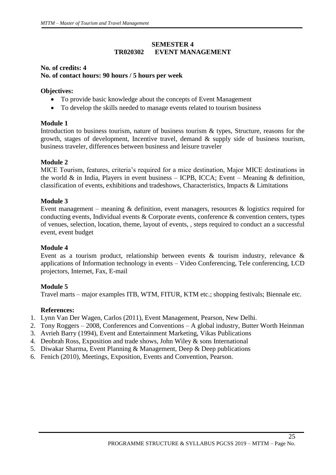# **SEMESTER 4 TR020302 EVENT MANAGEMENT**

# **No. of credits: 4 No. of contact hours: 90 hours / 5 hours per week**

# **Objectives:**

- To provide basic knowledge about the concepts of Event Management
- To develop the skills needed to manage events related to tourism business

# **Module 1**

Introduction to business tourism, nature of business tourism & types, Structure, reasons for the growth, stages of development, Incentive travel, demand & supply side of business tourism, business traveler, differences between business and leisure traveler

# **Module 2**

MICE Tourism, features, criteria's required for a mice destination, Major MICE destinations in the world  $\&$  in India, Players in event business – ICPB, ICCA; Event – Meaning  $\&$  definition, classification of events, exhibitions and tradeshows, Characteristics, Impacts & Limitations

# **Module 3**

Event management – meaning & definition, event managers, resources & logistics required for conducting events, Individual events & Corporate events, conference & convention centers, types of venues, selection, location, theme, layout of events, , steps required to conduct an a successful event, event budget

# **Module 4**

Event as a tourism product, relationship between events & tourism industry, relevance & applications of Information technology in events – Video Conferencing, Tele conferencing, LCD projectors, Internet, Fax, E-mail

# **Module 5**

Travel marts – major examples ITB, WTM, FITUR, KTM etc.; shopping festivals; Biennale etc.

# **References:**

- 1. Lynn Van Der Wagen, Carlos (2011), Event Management, Pearson, New Delhi.
- 2. Tony Roggers 2008, Conferences and Conventions A global industry, Butter Worth Heinman
- 3. Avrieh Barry (1994), Event and Entertainment Marketing, Vikas Publications
- 4. Deobrah Ross, Exposition and trade shows, John Wiley & sons International
- 5. Diwakar Sharma, Event Planning & Management, Deep & Deep publications
- 6. Fenich (2010), Meetings, Exposition, Events and Convention, Pearson.

 $\overline{25}$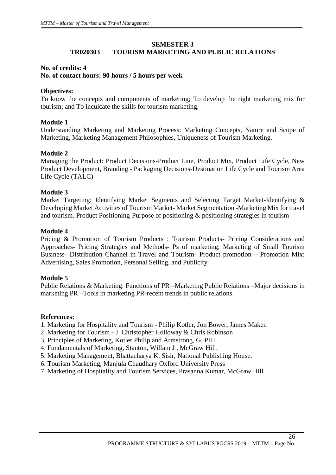# **SEMESTER 3**

# **TR020303 TOURISM MARKETING AND PUBLIC RELATIONS**

# **No. of credits: 4**

# **No. of contact hours: 90 hours / 5 hours per week**

# **Objectives:**

To know the concepts and components of marketing; To develop the right marketing mix for tourism; and To inculcate the skills for tourism marketing.

# **Module 1**

Understanding Marketing and Marketing Process: Marketing Concepts, Nature and Scope of Marketing, Marketing Management Philosophies, Uniqueness of Tourism Marketing.

# **Module 2**

Managing the Product: Product Decisions-Product Line, Product Mix, Product Life Cycle, New Product Development, Branding - Packaging Decisions-Destination Life Cycle and Tourism Area Life Cycle (TALC)

# **Module 3**

Market Targeting: Identifying Market Segments and Selecting Target Market-Identifying & Developing Market Activities of Tourism Market- Market Segmentation -Marketing Mix for travel and tourism. Product Positioning-Purpose of positioning & positioning strategies in tourism

# **Module 4**

Pricing & Promotion of Tourism Products : Tourism Products- Pricing Considerations and Approaches- Pricing Strategies and Methods- Ps of marketing; Marketing of Small Tourism Business- Distribution Channel in Travel and Tourism- Product promotion – Promotion Mix: Advertising, Sales Promotion, Personal Selling, and Publicity.

# **Module 5**

Public Relations & Marketing: Functions of PR –Marketing Public Relations –Major decisions in marketing PR –Tools in marketing PR-recent trends in public relations.

# **References:**

1. Marketing for Hospitality and Tourism - Philip Kotler, Jon Bower, James Maken

- 2. Marketing for Tourism J. Christopher Holloway & Chris Robinson
- 3. Principles of Marketing, Kotler Philip and Armstrong, G. PHI.
- 4. Fundamentals of Marketing, Stanton, Willam J , McGraw Hill.
- 5. Marketing Management, Bhattacharya K. Sisir, National Publishing House.
- 6. Tourism Marketing, Manjula Chaudhary Oxford University Press
- 7. Marketing of Hospitality and Tourism Services, Prasanna Kumar, McGraw Hill.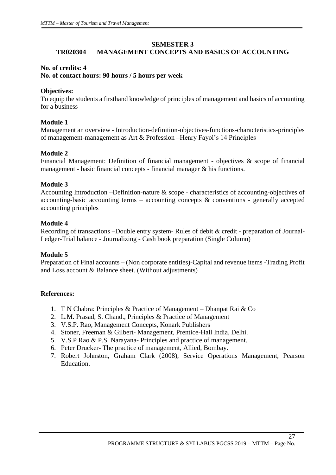# **SEMESTER 3**

# **TR020304 MANAGEMENT CONCEPTS AND BASICS OF ACCOUNTING**

#### **No. of credits: 4**

#### **No. of contact hours: 90 hours / 5 hours per week**

#### **Objectives:**

To equip the students a firsthand knowledge of principles of management and basics of accounting for a business

# **Module 1**

Management an overview - Introduction-definition-objectives-functions-characteristics-principles of management-management as Art & Profession –Henry Fayol's 14 Principles

# **Module 2**

Financial Management: Definition of financial management - objectives & scope of financial management - basic financial concepts - financial manager & his functions.

#### **Module 3**

Accounting Introduction –Definition-nature & scope - characteristics of accounting-objectives of accounting-basic accounting terms – accounting concepts  $\&$  conventions - generally accepted accounting principles

#### **Module 4**

Recording of transactions –Double entry system- Rules of debit & credit - preparation of Journal-Ledger-Trial balance - Journalizing - Cash book preparation (Single Column)

# **Module 5**

Preparation of Final accounts – (Non corporate entities)-Capital and revenue items -Trading Profit and Loss account & Balance sheet. (Without adjustments)

# **References:**

- 1. T N Chabra: Principles & Practice of Management Dhanpat Rai & Co
- 2. L.M. Prasad, S. Chand., Principles & Practice of Management
- 3. V.S.P. Rao, Management Concepts, Konark Publishers
- 4. Stoner, Freeman & Gilbert- Management, Prentice-Hall India, Delhi.
- 5. V.S.P Rao & P.S. Narayana- Principles and practice of management.
- 6. Peter Drucker- The practice of management, Allied, Bombay.
- 7. Robert Johnston, Graham Clark (2008), Service Operations Management, Pearson Education.

 $\overline{27}$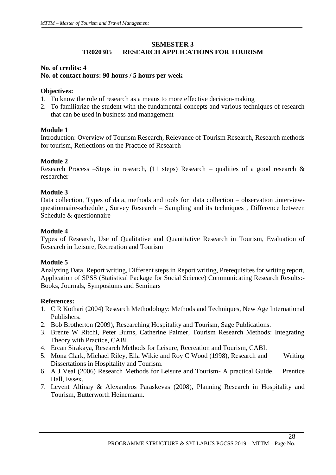# **SEMESTER 3 TR020305 RESEARCH APPLICATIONS FOR TOURISM**

# **No. of credits: 4 No. of contact hours: 90 hours / 5 hours per week**

# **Objectives:**

- 1. To know the role of research as a means to more effective decision-making
- 2. To familiarize the student with the fundamental concepts and various techniques of research that can be used in business and management

# **Module 1**

Introduction: Overview of Tourism Research, Relevance of Tourism Research, Research methods for tourism, Reflections on the Practice of Research

# **Module 2**

Research Process –Steps in research, (11 steps) Research – qualities of a good research  $\&$ researcher

# **Module 3**

Data collection, Types of data, methods and tools for data collection – observation ,interviewquestionnaire-schedule , Survey Research – Sampling and its techniques , Difference between Schedule & questionnaire

# **Module 4**

Types of Research, Use of Qualitative and Quantitative Research in Tourism, Evaluation of Research in Leisure, Recreation and Tourism

# **Module 5**

Analyzing Data, Report writing, Different steps in Report writing, Prerequisites for writing report, Application of SPSS (Statistical Package for Social Science) Communicating Research Results:- Books, Journals, Symposiums and Seminars

# **References:**

- 1. C R Kothari (2004) Research Methodology: Methods and Techniques, New Age International Publishers.
- 2. Bob Brotherton (2009), Researching Hospitality and Tourism, Sage Publications.
- 3. Brente W Ritchi, Peter Burns, Catherine Palmer, Tourism Research Methods: Integrating Theory with Practice, CABI.
- 4. Ercan Sirakaya, Research Methods for Leisure, Recreation and Tourism, CABI.
- 5. Mona Clark, Michael Riley, Ella Wikie and Roy C Wood (1998), Research and Writing Dissertations in Hospitality and Tourism.
- 6. A J Veal (2006) Research Methods for Leisure and Tourism- A practical Guide, Prentice Hall, Essex.
- 7. Levent Altinay & Alexandros Paraskevas (2008), Planning Research in Hospitality and Tourism, Butterworth Heinemann.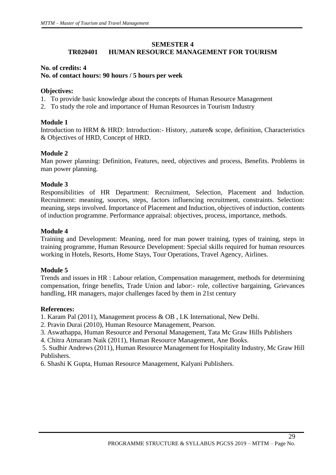# **SEMESTER 4**

# **TR020401 HUMAN RESOURCE MANAGEMENT FOR TOURISM**

#### **No. of credits: 4 No. of contact hours: 90 hours / 5 hours per week**

#### **Objectives:**

- 1. To provide basic knowledge about the concepts of Human Resource Management
- 2. To study the role and importance of Human Resources in Tourism Industry

# **Module 1**

Introduction to HRM & HRD: Introduction:- History, ,nature& scope, definition, Characteristics & Objectives of HRD, Concept of HRD.

# **Module 2**

Man power planning: Definition, Features, need, objectives and process, Benefits. Problems in man power planning.

# **Module 3**

Responsibilities of HR Department: Recruitment, Selection, Placement and Induction. Recruitment: meaning, sources, steps, factors influencing recruitment, constraints. Selection: meaning, steps involved. Importance of Placement and Induction, objectives of induction, contents of induction programme. Performance appraisal: objectives, process, importance, methods.

# **Module 4**

Training and Development: Meaning, need for man power training, types of training, steps in training programme, Human Resource Development: Special skills required for human resources working in Hotels, Resorts, Home Stays, Tour Operations, Travel Agency, Airlines.

# **Module 5**

Trends and issues in HR : Labour relation, Compensation management, methods for determining compensation, fringe benefits, Trade Union and labor:- role, collective bargaining, Grievances handling, HR managers, major challenges faced by them in 21st century

#### **References:**

1. Karam Pal (2011), Management process & OB , I.K International, New Delhi.

- 2. Pravin Durai (2010), Human Resource Management, Pearson.
- 3. Aswathappa, Human Resource and Personal Management, Tata Mc Graw Hills Publishers
- 4. Chitra Atmaram Naik (2011), Human Resource Management, Ane Books.

5. Sudhir Andrews (2011), Human Resource Management for Hospitality Industry, Mc Graw Hill Publishers.

6. Shashi K Gupta, Human Resource Management, Kalyani Publishers.

 $\overline{29}$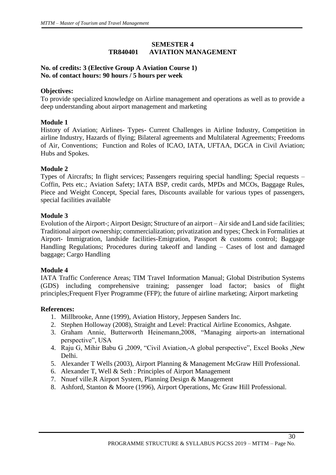# **SEMESTER 4 TR840401 AVIATION MANAGEMENT**

# **No. of credits: 3 (Elective Group A Aviation Course 1) No. of contact hours: 90 hours / 5 hours per week**

# **Objectives:**

To provide specialized knowledge on Airline management and operations as well as to provide a deep understanding about airport management and marketing

# **Module 1**

History of Aviation; Airlines- Types- Current Challenges in Airline Industry, Competition in airline Industry, Hazards of flying; Bilateral agreements and Multilateral Agreements; Freedoms of Air, Conventions; Function and Roles of ICAO, IATA, UFTAA, DGCA in Civil Aviation; Hubs and Spokes.

#### **Module 2**

Types of Aircrafts; In flight services; Passengers requiring special handling; Special requests – Coffin, Pets etc.; Aviation Safety; IATA BSP, credit cards, MPDs and MCOs, Baggage Rules, Piece and Weight Concept, Special fares, Discounts available for various types of passengers, special facilities available

#### **Module 3**

Evolution of the Airport-; Airport Design; Structure of an airport – Air side and Land side facilities; Traditional airport ownership; commercialization; privatization and types; Check in Formalities at Airport- Immigration, landside facilities-Emigration, Passport & customs control; Baggage Handling Regulations; Procedures during takeoff and landing – Cases of lost and damaged baggage; Cargo Handling

# **Module 4**

IATA Traffic Conference Areas; TIM Travel Information Manual; Global Distribution Systems (GDS) including comprehensive training; passenger load factor; basics of flight principles;Frequent Flyer Programme (FFP); the future of airline marketing; Airport marketing

#### **References:**

- 1. Millbrooke, Anne (1999), Aviation History, Jeppesen Sanders Inc.
- 2. Stephen Holloway (2008), Straight and Level: Practical Airline Economics, Ashgate.
- 3. Graham Annie, Butterworth Heinemann,2008, "Managing airports-an international perspective", USA
- 4. Raju G, Mihir Babu G ,2009, "Civil Aviation,-A global perspective", Excel Books ,New Delhi.
- 5. Alexander T Wells (2003), Airport Planning & Management McGraw Hill Professional.
- 6. Alexander T, Well & Seth : Principles of Airport Management
- 7. Nnuef ville.R Airport System, Planning Design & Management
- 8. Ashford, Stanton & Moore (1996), Airport Operations, Mc Graw Hill Professional.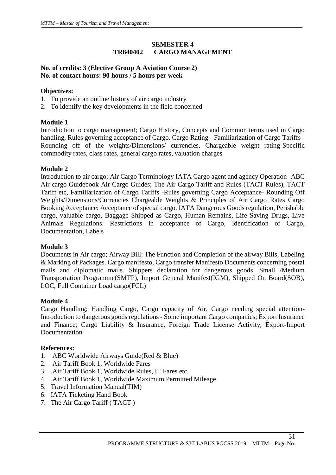# **SEMESTER 4 TR840402 CARGO MANAGEMENT**

# **No. of credits: 3 (Elective Group A Aviation Course 2) No. of contact hours: 90 hours / 5 hours per week**

# **Objectives:**

- 1. To provide an outline history of air cargo industry
- 2. To identify the key developments in the field concerned

# **Module 1**

Introduction to cargo management; Cargo History, Concepts and Common terms used in Cargo handling, Rules governing acceptance of Cargo. Cargo Rating - Familiarization of Cargo Tariffs - Rounding off of the weights/Dimensions/ currencies. Chargeable weight rating-Specific commodity rates, class rates, general cargo rates, valuation charges

# **Module 2**

Introduction to air cargo; Air Cargo Terminology IATA Cargo agent and agency Operation- ABC Air cargo Guidebook Air Cargo Guides; The Air Cargo Tariff and Rules (TACT Rules), TACT Tariff etc, Familiarization of Cargo Tariffs -Rules governing Cargo Acceptance- Rounding Off Weights/Dimensions/Currencies Chargeable Weights & Principles of Air Cargo Rates Cargo Booking Acceptance: Acceptance of special cargo. IATA Dangerous Goods regulation, Perishable cargo, valuable cargo, Baggage Shipped as Cargo, Human Remains, Life Saving Drugs, Live Animals Regulations. Restrictions in acceptance of Cargo, Identification of Cargo, Documentation, Labels

# **Module 3**

Documents in Air cargo; Airway Bill: The Function and Completion of the airway Bills, Labeling & Marking of Packages. Cargo manifesto, Cargo transfer Manifesto Documents concerning postal mails and diplomatic mails. Shippers declaration for dangerous goods. Small /Medium Transportation Programme(SMTP), Import General Manifest(IGM), Shipped On Board(SOB), LOC, Full Container Load cargo(FCL)

# **Module 4**

Cargo Handling; Handling Cargo, Cargo capacity of Air, Cargo needing special attention-Introduction to dangerous goods regulations - Some important Cargo companies; Export Insurance and Finance; Cargo Liability & Insurance, Foreign Trade License Activity, Export-Import Documentation

# **References:**

- 1. ABC Worldwide Airways Guide(Red & Blue)
- 2. Air Tariff Book 1, Worldwide Fares
- 3. .Air Tariff Book 1, Worldwide Rules, IT Fares etc.
- 4. .Air Tariff Book 1, Worldwide Maximum Permitted Mileage
- 5. Travel Information Manual(TIM)
- 6. IATA Ticketing Hand Book
- 7. The Air Cargo Tariff ( TACT )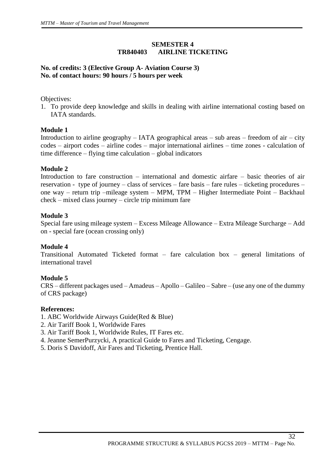# **SEMESTER 4 TR840403 AIRLINE TICKETING**

# **No. of credits: 3 (Elective Group A- Aviation Course 3) No. of contact hours: 90 hours / 5 hours per week**

Objectives:

1. To provide deep knowledge and skills in dealing with airline international costing based on IATA standards.

# **Module 1**

Introduction to airline geography – IATA geographical areas – sub areas – freedom of air – city codes – airport codes – airline codes – major international airlines – time zones - calculation of time difference – flying time calculation – global indicators

# **Module 2**

Introduction to fare construction – international and domestic airfare – basic theories of air reservation - type of journey – class of services – fare basis – fare rules – ticketing procedures – one way – return trip –mileage system – MPM, TPM – Higher Intermediate Point – Backhaul check – mixed class journey – circle trip minimum fare

# **Module 3**

Special fare using mileage system – Excess Mileage Allowance – Extra Mileage Surcharge – Add on - special fare (ocean crossing only)

# **Module 4**

Transitional Automated Ticketed format – fare calculation box – general limitations of international travel

# **Module 5**

CRS – different packages used – Amadeus – Apollo – Galileo – Sabre – (use any one of the dummy of CRS package)

# **References:**

- 1. ABC Worldwide Airways Guide(Red & Blue)
- 2. Air Tariff Book 1, Worldwide Fares
- 3. Air Tariff Book 1, Worldwide Rules, IT Fares etc.
- 4. Jeanne SemerPurzycki, A practical Guide to Fares and Ticketing, Cengage.
- 5. Doris S Davidoff, Air Fares and Ticketing, Prentice Hall.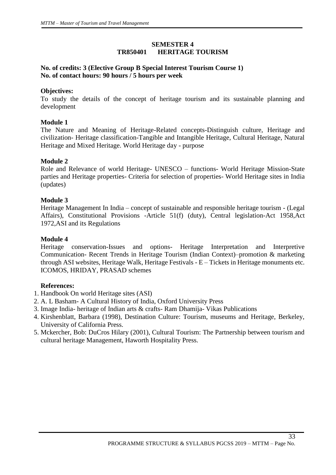# **SEMESTER 4 TR850401 HERITAGE TOURISM**

# **No. of credits: 3 (Elective Group B Special Interest Tourism Course 1) No. of contact hours: 90 hours / 5 hours per week**

# **Objectives:**

To study the details of the concept of heritage tourism and its sustainable planning and development

# **Module 1**

The Nature and Meaning of Heritage-Related concepts-Distinguish culture, Heritage and civilization- Heritage classification-Tangible and Intangible Heritage, Cultural Heritage, Natural Heritage and Mixed Heritage. World Heritage day - purpose

# **Module 2**

Role and Relevance of world Heritage- UNESCO – functions- World Heritage Mission-State parties and Heritage properties- Criteria for selection of properties- World Heritage sites in India (updates)

# **Module 3**

Heritage Management In India – concept of sustainable and responsible heritage tourism - (Legal Affairs), Constitutional Provisions -Article 51(f) (duty), Central legislation-Act 1958,Act 1972,ASI and its Regulations

# **Module 4**

Heritage conservation-Issues and options- Heritage Interpretation and Interpretive Communication- Recent Trends in Heritage Tourism (Indian Context)–promotion & marketing through ASI websites, Heritage Walk, Heritage Festivals - E – Tickets in Heritage monuments etc. ICOMOS, HRIDAY, PRASAD schemes

# **References:**

- 1. Handbook On world Heritage sites (ASI)
- 2. A. L Basham- A Cultural History of India, Oxford University Press
- 3. Image India- heritage of Indian arts & crafts- Ram Dhamija- Vikas Publications
- 4. Kirshenblatt, Barbara (1998), Destination Culture: Tourism, museums and Heritage, Berkeley, University of California Press.
- 5. Mckercher, Bob: DuCros Hilary (2001), Cultural Tourism: The Partnership between tourism and cultural heritage Management, Haworth Hospitality Press.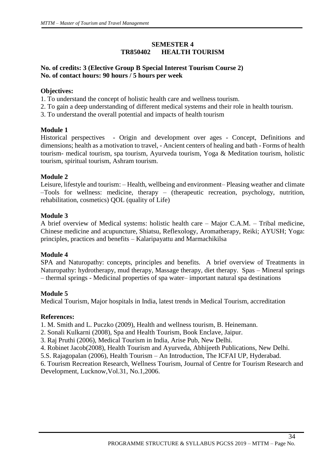# **SEMESTER 4 TR850402 HEALTH TOURISM**

# **No. of credits: 3 (Elective Group B Special Interest Tourism Course 2) No. of contact hours: 90 hours / 5 hours per week**

# **Objectives:**

- 1. To understand the concept of holistic health care and wellness tourism.
- 2. To gain a deep understanding of different medical systems and their role in health tourism.
- 3. To understand the overall potential and impacts of health tourism

# **Module 1**

Historical perspectives- Origin and development over ages - Concept, Definitions and dimensions; health as a motivation to travel, - Ancient centers of healing and bath - Forms of health tourism- medical tourism, spa tourism, Ayurveda tourism, Yoga & Meditation tourism, holistic tourism, spiritual tourism, Ashram tourism.

# **Module 2**

Leisure, lifestyle and tourism: – Health, wellbeing and environment– Pleasing weather and climate –Tools for wellness: medicine, therapy – (therapeutic recreation, psychology, nutrition, rehabilitation, cosmetics) QOL (quality of Life)

# **Module 3**

A brief overview of Medical systems: holistic health care – Major C.A.M. – Tribal medicine, Chinese medicine and acupuncture, Shiatsu, Reflexology, Aromatherapy, Reiki; AYUSH; Yoga: principles, practices and benefits – Kalaripayattu and Marmachikilsa

# **Module 4**

SPA and Naturopathy: concepts, principles and benefits. A brief overview of Treatments in Naturopathy: hydrotherapy, mud therapy, Massage therapy, diet therapy. Spas – Mineral springs – thermal springs - Medicinal properties of spa water– important natural spa destinations

# **Module 5**

Medical Tourism, Major hospitals in India, latest trends in Medical Tourism, accreditation

# **References:**

1. M. Smith and L. Puczko (2009), Health and wellness tourism, B. Heinemann.

- 2. Sonali Kulkarni (2008), Spa and Health Tourism, Book Enclave, Jaipur.
- 3. Raj Pruthi (2006), Medical Tourism in India, Arise Pub, New Delhi.
- 4. Robinet Jacob(2008), Health Tourism and Ayurveda, Abhijeeth Publications, New Delhi.
- 5.S. Rajagopalan (2006), Health Tourism An Introduction, The ICFAI UP, Hyderabad.
- 6. Tourism Recreation Research, Wellness Tourism, Journal of Centre for Tourism Research and Development, Lucknow,Vol.31, No.1,2006.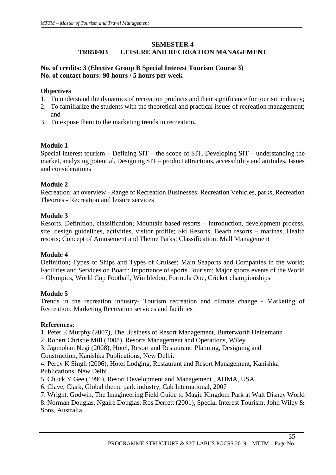# **SEMESTER 4 TR850403 LEISURE AND RECREATION MANAGEMENT**

# **No. of credits: 3 (Elective Group B Special Interest Tourism Course 3) No. of contact hours: 90 hours / 5 hours per week**

# **Objectives**

- 1. To understand the dynamics of recreation products and their significance for tourism industry;
- 2. To familiarize the students with the theoretical and practical issues of recreation management; and
- 3. To expose them to the marketing trends in recreation**.**

# **Module 1**

Special interest tourism – Defining SIT – the scope of SIT, Developing SIT – understanding the market, analyzing potential, Designing SIT – product attractions, accessibility and attitudes, Issues and considerations

# **Module 2**

Recreation: an overview - Range of Recreation Businesses: Recreation Vehicles, parks, Recreation Theories - Recreation and leisure services

# **Module 3**

Resorts, Definition, classification; Mountain based resorts – introduction, development process, site, design guidelines, activities, visitor profile; Ski Resorts; Beach resorts – marinas, Health resorts; Concept of Amusement and Theme Parks; Classification; Mall Management

# **Module 4**

Definition; Types of Ships and Types of Cruises; Main Seaports and Companies in the world; Facilities and Services on Board; Importance of sports Tourism; Major sports events of the World – Olympics, World Cup Football, Wimbledon, Formula One, Cricket championships

# **Module 5**

Trends in the recreation industry- Tourism recreation and climate change - Marketing of Recreation: Marketing Recreation services and facilities

# **References:**

1. Peter E Murphy (2007), The Business of Resort Management, Butterworth Heinemann

2. Robert Christie Mill (2008), Resorts Management and Operations, Wiley.

3. Jagmohan Negi (2008), Hotel, Resort and Restaurant: Planning, Designing and

Construction, Kanishka Publications, New Delhi.

4. Percy K Singh (2006), Hotel Lodging, Restaurant and Resort Management, Kanishka Publications, New Delhi.

5. Chuck Y Gee (1996), Resort Development and Management , AHMA, USA.

6. Clave, Clark, Global theme park industry, Cab International, 2007

7. Wright, Godwin, The Imagineering Field Guide to Magic Kingdom Park at Walt Disney World

8. Norman Douglas, Ngaire Douglas, Ros Derrett (2001), Special Interest Tourism, John Wiley & Sons, Australia.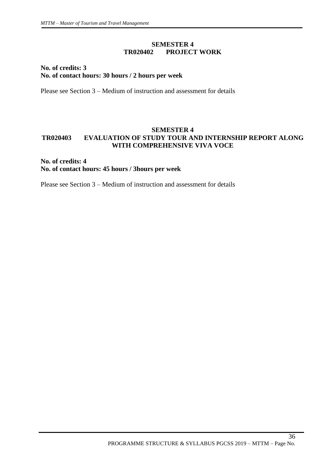# **SEMESTER 4 TR020402 PROJECT WORK**

# **No. of credits: 3 No. of contact hours: 30 hours / 2 hours per week**

Please see Section 3 – Medium of instruction and assessment for details

# **SEMESTER 4 TR020403 EVALUATION OF STUDY TOUR AND INTERNSHIP REPORT ALONG WITH COMPREHENSIVE VIVA VOCE**

# **No. of credits: 4 No. of contact hours: 45 hours / 3hours per week**

Please see Section 3 – Medium of instruction and assessment for details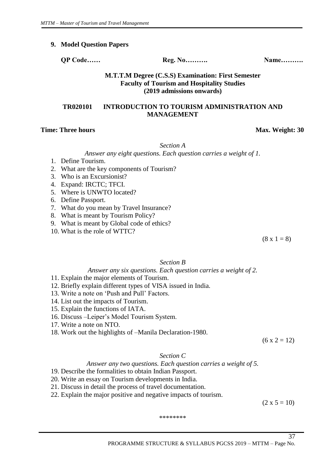#### **9. Model Question Papers**

**QP Code…… Reg. No………. Name……….**

#### **M.T.T.M Degree (C.S.S) Examination: First Semester Faculty of Tourism and Hospitality Studies (2019 admissions onwards)**

# **TR020101 INTRODUCTION TO TOURISM ADMINISTRATION AND MANAGEMENT**

#### **Time: Three hours** Max. Weight: 30

*Section A*

*Answer any eight questions. Each question carries a weight of 1.* 

- 1. Define Tourism.
- 2. What are the key components of Tourism?
- 3. Who is an Excursionist?
- 4. Expand: IRCTC; TFCI.
- 5. Where is UNWTO located?
- 6. Define Passport.
- 7. What do you mean by Travel Insurance?
- 8. What is meant by Tourism Policy?
- 9. What is meant by Global code of ethics?
- 10. What is the role of WTTC?

 $(8 \times 1 = 8)$ 

#### *Section B*

#### *Answer any six questions. Each question carries a weight of 2.*

- 11. Explain the major elements of Tourism.
- 12. Briefly explain different types of VISA issued in India.
- 13. Write a note on 'Push and Pull' Factors.
- 14. List out the impacts of Tourism.
- 15. Explain the functions of IATA.
- 16. Discuss –Leiper's Model Tourism System.
- 17. Write a note on NTO.
- 18. Work out the highlights of –Manila Declaration-1980.

 $(6 x 2 = 12)$ 

#### *Section C*

#### *Answer any two questions. Each question carries a weight of 5.*

19. Describe the formalities to obtain Indian Passport.

- 20. Write an essay on Tourism developments in India.
- 21. Discuss in detail the process of travel documentation.
- 22. Explain the major positive and negative impacts of tourism.

 $(2 \times 5 = 10)$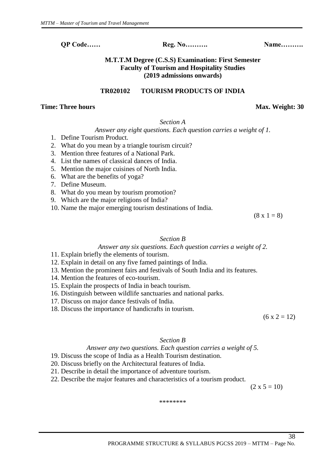# **M.T.T.M Degree (C.S.S) Examination: First Semester Faculty of Tourism and Hospitality Studies (2019 admissions onwards)**

#### **TR020102 TOURISM PRODUCTS OF INDIA**

#### **Time: Three hours** Max. Weight: 30

# *Section A*

# *Answer any eight questions. Each question carries a weight of 1.*

- 1. Define Tourism Product.
- 2. What do you mean by a triangle tourism circuit?
- 3. Mention three features of a National Park.
- 4. List the names of classical dances of India.
- 5. Mention the major cuisines of North India.
- 6. What are the benefits of yoga?
- 7. Define Museum.
- 8. What do you mean by tourism promotion?
- 9. Which are the major religions of India?
- 10. Name the major emerging tourism destinations of India.

 $(8 \times 1 = 8)$ 

#### *Section B*

#### *Answer any six questions. Each question carries a weight of 2.*

- 11. Explain briefly the elements of tourism.
- 12. Explain in detail on any five famed paintings of India.
- 13. Mention the prominent fairs and festivals of South India and its features.
- 14. Mention the features of eco-tourism.
- 15. Explain the prospects of India in beach tourism.
- 16. Distinguish between wildlife sanctuaries and national parks.
- 17. Discuss on major dance festivals of India.
- 18. Discuss the importance of handicrafts in tourism.

 $(6 x 2 = 12)$ 

#### *Section B*

#### *Answer any two questions. Each question carries a weight of 5.*

- 19. Discuss the scope of India as a Health Tourism destination.
- 20. Discuss briefly on the Architectural features of India.
- 21. Describe in detail the importance of adventure tourism.
- 22. Describe the major features and characteristics of a tourism product.

 $(2 \times 5 = 10)$ 

\*\*\*\*\*\*\*\*

PROGRAMME STRUCTURE & SYLLABUS PGCSS 2019 – MTTM – Page No.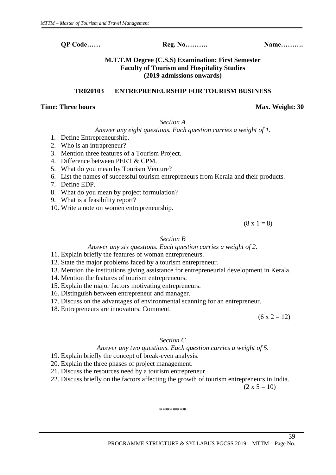# **M.T.T.M Degree (C.S.S) Examination: First Semester Faculty of Tourism and Hospitality Studies (2019 admissions onwards)**

# **TR020103 ENTREPRENEURSHIP FOR TOURISM BUSINESS**

# **Time: Three hours** Max. Weight: 30

# *Section A*

*Answer any eight questions. Each question carries a weight of 1.* 

- 1. Define Entrepreneurship.
- 2. Who is an intrapreneur?
- 3. Mention three features of a Tourism Project.
- 4. Difference between PERT & CPM.
- 5. What do you mean by Tourism Venture?
- 6. List the names of successful tourism entrepreneurs from Kerala and their products.
- 7. Define EDP.
- 8. What do you mean by project formulation?
- 9. What is a feasibility report?
- 10. Write a note on women entrepreneurship.

 $(8 \times 1 = 8)$ 

# *Section B*

*Answer any six questions. Each question carries a weight of 2.*

- 11. Explain briefly the features of woman entrepreneurs.
- 12. State the major problems faced by a tourism entrepreneur.
- 13. Mention the institutions giving assistance for entrepreneurial development in Kerala.
- 14. Mention the features of tourism entrepreneurs.
- 15. Explain the major factors motivating entrepreneurs.
- 16. Distinguish between entrepreneur and manager.
- 17. Discuss on the advantages of environmental scanning for an entrepreneur.
- 18. Entrepreneurs are innovators. Comment.

 $(6 x 2 = 12)$ 

# *Section C*

# *Answer any two questions. Each question carries a weight of 5.*

- 19. Explain briefly the concept of break-even analysis.
- 20. Explain the three phases of project management.
- 21. Discuss the resources need by a tourism entrepreneur.
- 22. Discuss briefly on the factors affecting the growth of tourism entrepreneurs in India.

 $(2 \times 5 = 10)$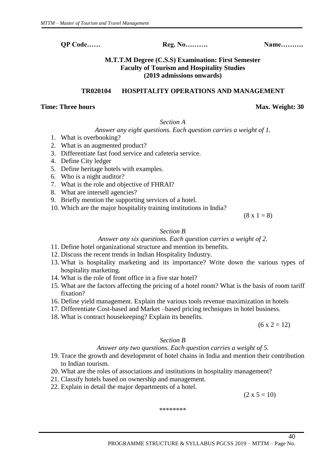**M.T.T.M Degree (C.S.S) Examination: First Semester Faculty of Tourism and Hospitality Studies** 

**TR020104 HOSPITALITY OPERATIONS AND MANAGEMENT**

**(2019 admissions onwards)**

# **Time: Three hours** Max. Weight: 30

*Section A*

# *Answer any eight questions. Each question carries a weight of 1.*

- 1. What is overbooking?
- 2. What is an augmented product?
- 3. Differentiate fast food service and cafeteria service.
- 4. Define City ledger
- 5. Define heritage hotels with examples.
- 6. Who is a night auditor?
- 7. What is the role and objective of FHRAI?
- 8. What are intersell agencies?
- 9. Briefly mention the supporting services of a hotel.
- 10. Which are the major hospitality training institutions in India?

 $(8 \times 1 = 8)$ 

# *Section B*

*Answer any six questions. Each question carries a weight of 2.*

- 11. Define hotel organizational structure and mention its benefits.
- 12. Discuss the recent trends in Indian Hospitality Industry.
- 13. What is hospitality marketing and its importance? Write down the various types of hospitality marketing.
- 14. What is the role of front office in a five star hotel?
- 15. What are the factors affecting the pricing of a hotel room? What is the basis of room tariff fixation?
- 16. Define yield management. Explain the various tools revenue maximization in hotels
- 17. Differentiate Cost-based and Market –based pricing techniques in hotel business.
- 18. What is contract housekeeping? Explain its benefits.

 $(6 x 2 = 12)$ 

40

# *Section B*

# *Answer any two questions. Each question carries a weight of 5.*

- 19. Trace the growth and development of hotel chains in India and mention their contribution to Indian tourism.
- 20. What are the roles of associations and institutions in hospitality management?
- 21. Classify hotels based on ownership and management.
- 22. Explain in detail the major departments of a hotel.

\*\*\*\*\*\*\*\*

 $(2 \times 5 = 10)$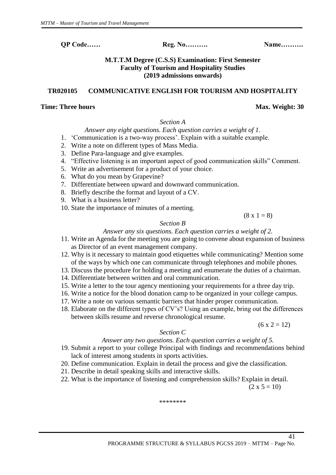# **M.T.T.M Degree (C.S.S) Examination: First Semester Faculty of Tourism and Hospitality Studies (2019 admissions onwards)**

# **TR020105 COMMUNICATIVE ENGLISH FOR TOURISM AND HOSPITALITY**

#### **Time: Three hours** Max. Weight: 30

# *Section A*

# *Answer any eight questions. Each question carries a weight of 1.*

- 1. 'Communication is a two-way process'. Explain with a suitable example.
- 2. Write a note on different types of Mass Media.
- 3. Define Para-language and give examples.
- 4. "Effective listening is an important aspect of good communication skills" Comment.
- 5. Write an advertisement for a product of your choice.
- 6. What do you mean by Grapevine?
- 7. Differentiate between upward and downward communication.
- 8. Briefly describe the format and layout of a CV.
- 9. What is a business letter?
- 10. State the importance of minutes of a meeting.

 $(8 \times 1 = 8)$ 

# *Section B*

# *Answer any six questions. Each question carries a weight of 2.*

- 11. Write an Agenda for the meeting you are going to convene about expansion of business as Director of an event management company.
- 12. Why is it necessary to maintain good etiquettes while communicating? Mention some of the ways by which one can communicate through telephones and mobile phones.
- 13. Discuss the procedure for holding a meeting and enumerate the duties of a chairman.
- 14. Differentiate between written and oral communication.
- 15. Write a letter to the tour agency mentioning your requirements for a three day trip.
- 16. Write a notice for the blood donation camp to be organized in your college campus.
- 17. Write a note on various semantic barriers that hinder proper communication.
- 18. Elaborate on the different types of CV's? Using an example, bring out the differences between skills resume and reverse chronological resume.

 $(6 x 2 = 12)$ 

# *Section C*

# *Answer any two questions. Each question carries a weight of 5.*

- 19. Submit a report to your college Principal with findings and recommendations behind lack of interest among students in sports activities.
- 20. Define communication. Explain in detail the process and give the classification.
- 21. Describe in detail speaking skills and interactive skills.
- 22. What is the importance of listening and comprehension skills? Explain in detail.

 $(2 \times 5 = 10)$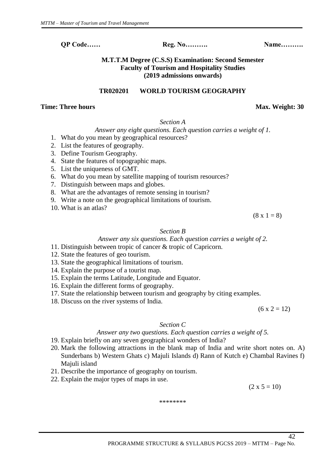# **M.T.T.M Degree (C.S.S) Examination: Second Semester Faculty of Tourism and Hospitality Studies (2019 admissions onwards)**

#### **TR020201 WORLD TOURISM GEOGRAPHY**

#### **Time: Three hours** Max. Weight: 30

# *Section A*

# *Answer any eight questions. Each question carries a weight of 1.*

- 1. What do you mean by geographical resources?
- 2. List the features of geography.
- 3. Define Tourism Geography.
- 4. State the features of topographic maps.
- 5. List the uniqueness of GMT.
- 6. What do you mean by satellite mapping of tourism resources?
- 7. Distinguish between maps and globes.
- 8. What are the advantages of remote sensing in tourism?
- 9. Write a note on the geographical limitations of tourism.
- 10. What is an atlas?

 $(8 \times 1 = 8)$ 

#### *Section B*

*Answer any six questions. Each question carries a weight of 2.*

- 11. Distinguish between tropic of cancer & tropic of Capricorn.
- 12. State the features of geo tourism.
- 13. State the geographical limitations of tourism.
- 14. Explain the purpose of a tourist map.
- 15. Explain the terms Latitude, Longitude and Equator.
- 16. Explain the different forms of geography.
- 17. State the relationship between tourism and geography by citing examples.
- 18. Discuss on the river systems of India.

 $(6 x 2 = 12)$ 

# *Section C*

# *Answer any two questions. Each question carries a weight of 5.*

- 19. Explain briefly on any seven geographical wonders of India?
- 20. Mark the following attractions in the blank map of India and write short notes on. A) Sunderbans b) Western Ghats c) Majuli Islands d) Rann of Kutch e) Chambal Ravines f) Majuli island
- 21. Describe the importance of geography on tourism.
- 22. Explain the major types of maps in use.

 $(2 \times 5 = 10)$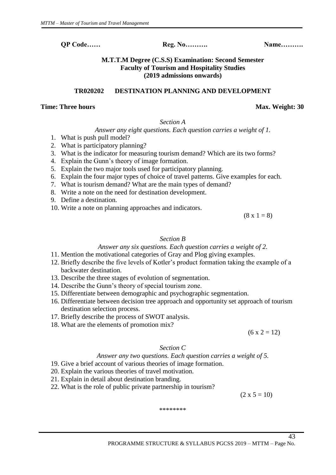# **M.T.T.M Degree (C.S.S) Examination: Second Semester Faculty of Tourism and Hospitality Studies (2019 admissions onwards)**

# **TR020202 DESTINATION PLANNING AND DEVELOPMENT**

#### **Time: Three hours** Max. Weight: 30

#### *Section A*

# *Answer any eight questions. Each question carries a weight of 1.*

- 1. What is push pull model?
- 2. What is participatory planning?
- 3. What is the indicator for measuring tourism demand? Which are its two forms?
- 4. Explain the Gunn's theory of image formation.
- 5. Explain the two major tools used for participatory planning.
- 6. Explain the four major types of choice of travel patterns. Give examples for each.
- 7. What is tourism demand? What are the main types of demand?
- 8. Write a note on the need for destination development.
- 9. Define a destination.
- 10. Write a note on planning approaches and indicators.

 $(8 \times 1 = 8)$ 

# *Section B*

# *Answer any six questions. Each question carries a weight of 2.*

- 11. Mention the motivational categories of Gray and Plog giving examples.
- 12. Briefly describe the five levels of Kotler's product formation taking the example of a backwater destination.
- 13. Describe the three stages of evolution of segmentation.
- 14. Describe the Gunn's theory of special tourism zone.
- 15. Differentiate between demographic and psychographic segmentation.
- 16. Differentiate between decision tree approach and opportunity set approach of tourism destination selection process.
- 17. Briefly describe the process of SWOT analysis.
- 18. What are the elements of promotion mix?

 $(6 x 2 = 12)$ 

# *Section C*

# *Answer any two questions. Each question carries a weight of 5.*

- 19. Give a brief account of various theories of image formation.
- 20. Explain the various theories of travel motivation.
- 21. Explain in detail about destination branding.
- 22. What is the role of public private partnership in tourism?

 $(2 \times 5 = 10)$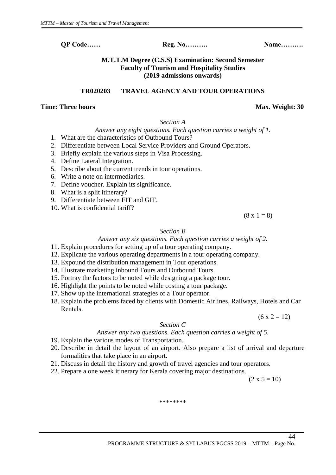**M.T.T.M Degree (C.S.S) Examination: Second Semester Faculty of Tourism and Hospitality Studies (2019 admissions onwards)**

#### **TR020203 TRAVEL AGENCY AND TOUR OPERATIONS**

#### **Time: Three hours** Max. Weight: 30

# *Section A*

# *Answer any eight questions. Each question carries a weight of 1.*

- 1. What are the characteristics of Outbound Tours?
- 2. Differentiate between Local Service Providers and Ground Operators.
- 3. Briefly explain the various steps in Visa Processing.
- 4. Define Lateral Integration.
- 5. Describe about the current trends in tour operations.
- 6. Write a note on intermediaries.
- 7. Define voucher. Explain its significance.
- 8. What is a split itinerary?
- 9. Differentiate between FIT and GIT.
- 10. What is confidential tariff?

 $(8 \times 1 = 8)$ 

#### *Section B*

*Answer any six questions. Each question carries a weight of 2.*

- 11. Explain procedures for setting up of a tour operating company.
- 12. Explicate the various operating departments in a tour operating company.
- 13. Expound the distribution management in Tour operations.
- 14. Illustrate marketing inbound Tours and Outbound Tours.
- 15. Portray the factors to be noted while designing a package tour.
- 16. Highlight the points to be noted while costing a tour package.
- 17. Show up the international strategies of a Tour operator.
- 18. Explain the problems faced by clients with Domestic Airlines, Railways, Hotels and Car Rentals.

 $(6 x 2 = 12)$ 

*Section C*

#### *Answer any two questions. Each question carries a weight of 5.*

- 19. Explain the various modes of Transportation.
- 20. Describe in detail the layout of an airport. Also prepare a list of arrival and departure formalities that take place in an airport.
- 21. Discuss in detail the history and growth of travel agencies and tour operators.
- 22. Prepare a one week itinerary for Kerala covering major destinations.

 $(2 \times 5 = 10)$ 

44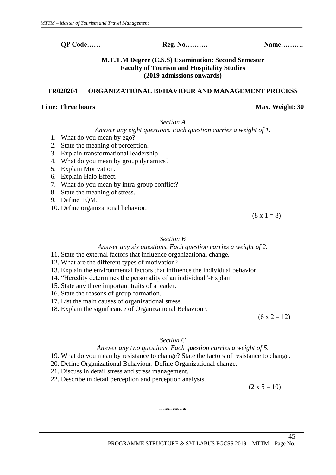# **M.T.T.M Degree (C.S.S) Examination: Second Semester Faculty of Tourism and Hospitality Studies (2019 admissions onwards)**

# **TR020204 ORGANIZATIONAL BEHAVIOUR AND MANAGEMENT PROCESS**

#### **Time: Three hours** Max. Weight: 30

*Section A*

*Answer any eight questions. Each question carries a weight of 1.* 

- 1. What do you mean by ego?
- 2. State the meaning of perception.
- 3. Explain transformational leadership
- 4. What do you mean by group dynamics?
- 5. Explain Motivation.
- 6. Explain Halo Effect.
- 7. What do you mean by intra-group conflict?
- 8. State the meaning of stress.
- 9. Define TQM.
- 10. Define organizational behavior.

 $(8 \times 1 = 8)$ 

# *Section B*

# *Answer any six questions. Each question carries a weight of 2.*

- 11. State the external factors that influence organizational change.
- 12. What are the different types of motivation?
- 13. Explain the environmental factors that influence the individual behavior.
- 14. "Heredity determines the personality of an individual"-Explain
- 15. State any three important traits of a leader.
- 16. State the reasons of group formation.
- 17. List the main causes of organizational stress.
- 18. Explain the significance of Organizational Behaviour.

 $(6 x 2 = 12)$ 

# *Section C*

# *Answer any two questions. Each question carries a weight of 5.*

- 19. What do you mean by resistance to change? State the factors of resistance to change.
- 20. Define Organizational Behaviour. Define Organizational change.
- 21. Discuss in detail stress and stress management.
- 22. Describe in detail perception and perception analysis.

 $(2 \times 5 = 10)$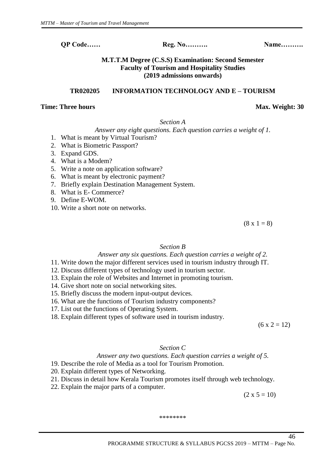# **M.T.T.M Degree (C.S.S) Examination: Second Semester Faculty of Tourism and Hospitality Studies (2019 admissions onwards)**

# **TR020205 INFORMATION TECHNOLOGY AND E – TOURISM**

#### **Time: Three hours** Max. Weight: 30

*Section A*

*Answer any eight questions. Each question carries a weight of 1.* 

- 1. What is meant by Virtual Tourism?
- 2. What is Biometric Passport?
- 3. Expand GDS.
- 4. What is a Modem?
- 5. Write a note on application software?
- 6. What is meant by electronic payment?
- 7. Briefly explain Destination Management System.
- 8. What is E- Commerce?
- 9. Define E-WOM.
- 10. Write a short note on networks.

 $(8 \times 1 = 8)$ 

# *Section B*

# *Answer any six questions. Each question carries a weight of 2.*

- 11. Write down the major different services used in tourism industry through IT.
- 12. Discuss different types of technology used in tourism sector.
- 13. Explain the role of Websites and Internet in promoting tourism.
- 14. Give short note on social networking sites.
- 15. Briefly discuss the modern input-output devices.
- 16. What are the functions of Tourism industry components?
- 17. List out the functions of Operating System.
- 18. Explain different types of software used in tourism industry.

 $(6 x 2 = 12)$ 

46

# *Section C*

# *Answer any two questions. Each question carries a weight of 5.*

- 19. Describe the role of Media as a tool for Tourism Promotion.
- 20. Explain different types of Networking.
- 21. Discuss in detail how Kerala Tourism promotes itself through web technology.
- 22. Explain the major parts of a computer.

 $(2 \times 5 = 10)$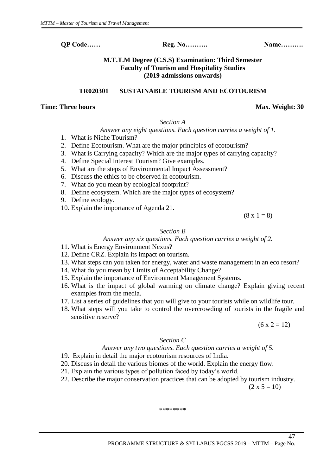# **M.T.T.M Degree (C.S.S) Examination: Third Semester Faculty of Tourism and Hospitality Studies (2019 admissions onwards)**

**TR020301 SUSTAINABLE TOURISM AND ECOTOURISM**

#### **Time: Three hours** Max. Weight: 30

# *Section A*

# *Answer any eight questions. Each question carries a weight of 1.*

- 1. What is Niche Tourism?
- 2. Define Ecotourism. What are the major principles of ecotourism?
- 3. What is Carrying capacity? Which are the major types of carrying capacity?
- 4. Define Special Interest Tourism? Give examples.
- 5. What are the steps of Environmental Impact Assessment?
- 6. Discuss the ethics to be observed in ecotourism.
- 7. What do you mean by ecological footprint?
- 8. Define ecosystem. Which are the major types of ecosystem?
- 9. Define ecology.
- 10. Explain the importance of Agenda 21.

 $(8 \times 1 = 8)$ 

#### *Section B*

#### *Answer any six questions. Each question carries a weight of 2.*

- 11. What is Energy Environment Nexus?
- 12. Define CRZ. Explain its impact on tourism.
- 13. What steps can you taken for energy, water and waste management in an eco resort?
- 14. What do you mean by Limits of Acceptability Change?
- 15. Explain the importance of Environment Management Systems.
- 16. What is the impact of global warming on climate change? Explain giving recent examples from the media.
- 17. List a series of guidelines that you will give to your tourists while on wildlife tour.
- 18. What steps will you take to control the overcrowding of tourists in the fragile and sensitive reserve?

 $(6 x 2 = 12)$ 

# *Section C*

#### *Answer any two questions. Each question carries a weight of 5.*

- 19. Explain in detail the major ecotourism resources of India.
- 20. Discuss in detail the various biomes of the world. Explain the energy flow.
- 21. Explain the various types of pollution faced by today's world.
- 22. Describe the major conservation practices that can be adopted by tourism industry.

 $(2 \times 5 = 10)$ 

\*\*\*\*\*\*\*\*

#### PROGRAMME STRUCTURE & SYLLABUS PGCSS 2019 – MTTM – Page No.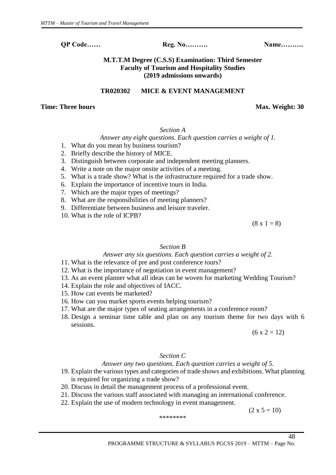# **M.T.T.M Degree (C.S.S) Examination: Third Semester Faculty of Tourism and Hospitality Studies (2019 admissions onwards)**

# **TR020302 MICE & EVENT MANAGEMENT**

# **Time: Three hours** Max. Weight: 30

# *Section A*

*Answer any eight questions. Each question carries a weight of 1.* 

- 1. What do you mean by business tourism?
- 2. Briefly describe the history of MICE.
- 3. Distinguish between corporate and independent meeting planners.
- 4. Write a note on the major onsite activities of a meeting.
- 5. What is a trade show? What is the infrastructure required for a trade show.
- 6. Explain the importance of incentive tours in India.
- 7. Which are the major types of meetings?
- 8. What are the responsibilities of meeting planners?
- 9. Differentiate between business and leisure traveler.
- 10. What is the role of ICPB?

 $(8 \times 1 = 8)$ 

# *Section B*

# *Answer any six questions. Each question carries a weight of 2.*

- 11. What is the relevance of pre and post conference tours?
- 12. What is the importance of negotiation in event management?
- 13. As an event planner what all ideas can be woven for marketing Wedding Tourism?
- 14. Explain the role and objectives of IACC.
- 15. How can events be marketed?
- 16. How can you market sports events helping tourism?
- 17. What are the major types of seating arrangements in a conference room?
- 18. Design a seminar time table and plan on any tourism theme for two days with 6 sessions.

 $(6 x 2 = 12)$ 

# *Section C*

# *Answer any two questions. Each question carries a weight of 5.*

- 19. Explain the various types and categories of trade shows and exhibitions. What planning is required for organizing a trade show?
- 20. Discuss in detail the management process of a professional event.
- 21. Discuss the various staff associated with managing an international conference.
- 22. Explain the use of modern technology in event management.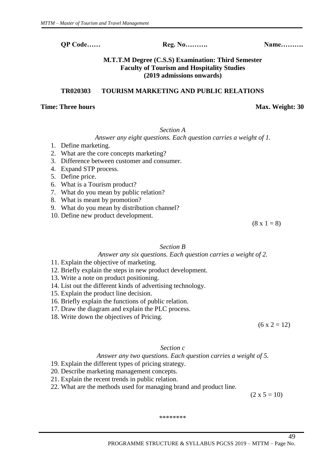# **M.T.T.M Degree (C.S.S) Examination: Third Semester Faculty of Tourism and Hospitality Studies (2019 admissions onwards)**

# **TR020303 TOURISM MARKETING AND PUBLIC RELATIONS**

#### **Time: Three hours** Max. Weight: 30

#### *Section A*

# *Answer any eight questions. Each question carries a weight of 1.*

- 1. Define marketing.
- 2. What are the core concepts marketing?
- 3. Difference between customer and consumer.
- 4. Expand STP process.
- 5. Define price.
- 6. What is a Tourism product?
- 7. What do you mean by public relation?
- 8. What is meant by promotion?
- 9. What do you mean by distribution channel?
- 10. Define new product development.

 $(8 \times 1 = 8)$ 

# *Section B*

# *Answer any six questions. Each question carries a weight of 2.*

- 11. Explain the objective of marketing.
- 12. Briefly explain the steps in new product development.
- 13. Write a note on product positioning.
- 14. List out the different kinds of advertising technology.
- 15. Explain the product line decision.
- 16. Briefly explain the functions of public relation.
- 17. Draw the diagram and explain the PLC process.
- 18. Write down the objectives of Pricing.

 $(6 x 2 = 12)$ 

# *Section c*

# *Answer any two questions. Each question carries a weight of 5.*

- 19. Explain the different types of pricing strategy.
- 20. Describe marketing management concepts.
- 21. Explain the recent trends in public relation.
- 22. What are the methods used for managing brand and product line.

 $(2 \times 5 = 10)$ 

49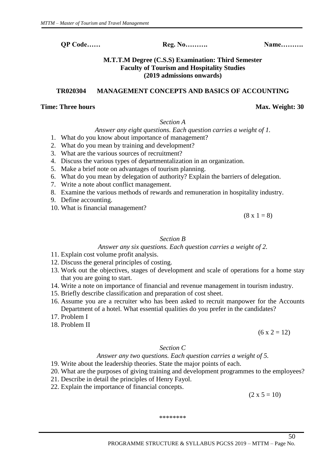# **M.T.T.M Degree (C.S.S) Examination: Third Semester Faculty of Tourism and Hospitality Studies (2019 admissions onwards)**

# **TR020304 MANAGEMENT CONCEPTS AND BASICS OF ACCOUNTING**

#### **Time: Three hours** Max. Weight: 30

# *Section A*

# *Answer any eight questions. Each question carries a weight of 1.*

- 1. What do you know about importance of management?
- 2. What do you mean by training and development?
- 3. What are the various sources of recruitment?
- 4. Discuss the various types of departmentalization in an organization.
- 5. Make a brief note on advantages of tourism planning.
- 6. What do you mean by delegation of authority? Explain the barriers of delegation.
- 7. Write a note about conflict management.
- 8. Examine the various methods of rewards and remuneration in hospitality industry.
- 9. Define accounting.
- 10. What is financial management?

 $(8 \times 1 = 8)$ 

# *Section B*

# *Answer any six questions. Each question carries a weight of 2.*

- 11. Explain cost volume profit analysis.
- 12. Discuss the general principles of costing.
- 13. Work out the objectives, stages of development and scale of operations for a home stay that you are going to start.
- 14. Write a note on importance of financial and revenue management in tourism industry.
- 15. Briefly describe classification and preparation of cost sheet.
- 16. Assume you are a recruiter who has been asked to recruit manpower for the Accounts Department of a hotel. What essential qualities do you prefer in the candidates?
- 17. Problem I
- 18. Problem II

 $(6 x 2 = 12)$ 

# *Section C*

# *Answer any two questions. Each question carries a weight of 5.*

- 19. Write about the leadership theories. State the major points of each.
- 20. What are the purposes of giving training and development programmes to the employees?
- 21. Describe in detail the principles of Henry Fayol.
- 22. Explain the importance of financial concepts.

 $(2 \times 5 = 10)$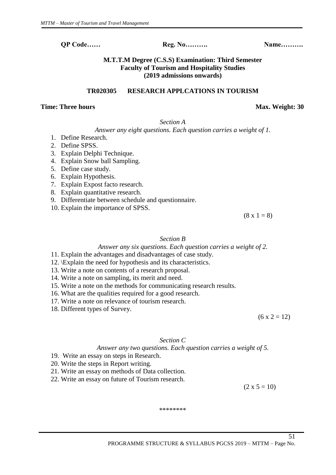**M.T.T.M Degree (C.S.S) Examination: Third Semester Faculty of Tourism and Hospitality Studies (2019 admissions onwards)**

**TR020305 RESEARCH APPLCATIONS IN TOURISM**

# **Time: Three hours** Max. Weight: 30

*Section A*

*Answer any eight questions. Each question carries a weight of 1.* 

- 1. Define Research.
- 2. Define SPSS.
- 3. Explain Delphi Technique.
- 4. Explain Snow ball Sampling.
- 5. Define case study.
- 6. Explain Hypothesis.
- 7. Explain Expost facto research.
- 8. Explain quantitative research.
- 9. Differentiate between schedule and questionnaire.
- 10. Explain the importance of SPSS.

 $(8 \times 1 = 8)$ 

# *Section B*

# *Answer any six questions. Each question carries a weight of 2.*

- 11. Explain the advantages and disadvantages of case study.
- 12. \Explain the need for hypothesis and its characteristics.
- 13. Write a note on contents of a research proposal.
- 14. Write a note on sampling, its merit and need.
- 15. Write a note on the methods for communicating research results.
- 16. What are the qualities required for a good research.
- 17. Write a note on relevance of tourism research.
- 18. Different types of Survey.

 $(6 x 2 = 12)$ 

# *Section C*

# *Answer any two questions. Each question carries a weight of 5.*

- 19. Write an essay on steps in Research.
- 20. Write the steps in Report writing.
- 21. Write an essay on methods of Data collection.
- 22. Write an essay on future of Tourism research.

 $(2 \times 5 = 10)$ 

51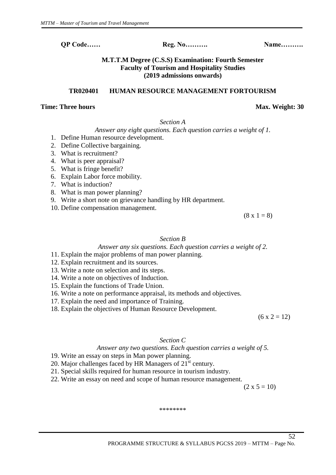**M.T.T.M Degree (C.S.S) Examination: Fourth Semester Faculty of Tourism and Hospitality Studies (2019 admissions onwards)**

#### **TR020401 HUMAN RESOURCE MANAGEMENT FORTOURISM**

#### **Time: Three hours** Max. Weight: 30

*Section A*

*Answer any eight questions. Each question carries a weight of 1.* 

- 1. Define Human resource development.
- 2. Define Collective bargaining.
- 3. What is recruitment?
- 4. What is peer appraisal?
- 5. What is fringe benefit?
- 6. Explain Labor force mobility.
- 7. What is induction?
- 8. What is man power planning?
- 9. Write a short note on grievance handling by HR department.
- 10. Define compensation management.

 $(8 \times 1 = 8)$ 

#### *Section B*

#### *Answer any six questions. Each question carries a weight of 2.*

# 11. Explain the major problems of man power planning.

- 12. Explain recruitment and its sources.
- 13. Write a note on selection and its steps.
- 14. Write a note on objectives of Induction.
- 15. Explain the functions of Trade Union.
- 16. Write a note on performance appraisal, its methods and objectives.
- 17. Explain the need and importance of Training.
- 18. Explain the objectives of Human Resource Development.

 $(6 x 2 = 12)$ 

#### *Section C*

#### *Answer any two questions. Each question carries a weight of 5.*

- 19. Write an essay on steps in Man power planning.
- 20. Major challenges faced by HR Managers of 21<sup>st</sup> century.
- 21. Special skills required for human resource in tourism industry.
- 22. Write an essay on need and scope of human resource management.

 $(2 \times 5 = 10)$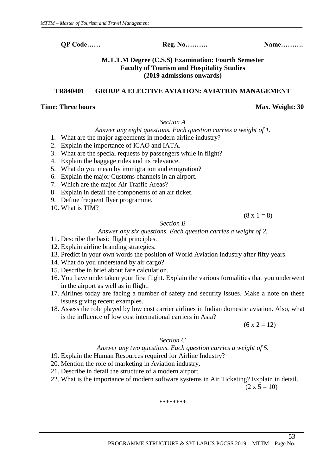# **M.T.T.M Degree (C.S.S) Examination: Fourth Semester Faculty of Tourism and Hospitality Studies (2019 admissions onwards)**

# **TR840401 GROUP A ELECTIVE AVIATION: AVIATION MANAGEMENT**

#### **Time: Three hours** Max. Weight: 30

#### *Section A*

# *Answer any eight questions. Each question carries a weight of 1.*

1. What are the major agreements in modern airline industry?

- 2. Explain the importance of ICAO and IATA.
- 3. What are the special requests by passengers while in flight?
- 4. Explain the baggage rules and its relevance.
- 5. What do you mean by immigration and emigration?
- 6. Explain the major Customs channels in an airport.
- 7. Which are the major Air Traffic Areas?
- 8. Explain in detail the components of an air ticket.
- 9. Define frequent flyer programme.
- 10. What is TIM?

 $(8 \times 1 = 8)$ 

# *Section B*

# *Answer any six questions. Each question carries a weight of 2.*

- 11. Describe the basic flight principles.
- 12. Explain airline branding strategies.
- 13. Predict in your own words the position of World Aviation industry after fifty years.
- 14. What do you understand by air cargo?
- 15. Describe in brief about fare calculation.
- 16. You have undertaken your first flight. Explain the various formalities that you underwent in the airport as well as in flight.
- 17. Airlines today are facing a number of safety and security issues. Make a note on these issues giving recent examples.
- 18. Assess the role played by low cost carrier airlines in Indian domestic aviation. Also, what is the influence of low cost international carriers in Asia?

 $(6 x 2 = 12)$ 

# *Section C*

# *Answer any two questions. Each question carries a weight of 5.*

- 19. Explain the Human Resources required for Airline Industry?
- 20. Mention the role of marketing in Aviation industry.
- 21. Describe in detail the structure of a modern airport.
- 22. What is the importance of modern software systems in Air Ticketing? Explain in detail.

 $(2 \times 5 = 10)$ 

53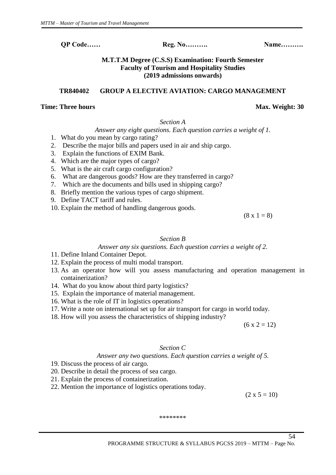# **M.T.T.M Degree (C.S.S) Examination: Fourth Semester Faculty of Tourism and Hospitality Studies (2019 admissions onwards)**

# **TR840402 GROUP A ELECTIVE AVIATION: CARGO MANAGEMENT**

# **Time: Three hours** Max. Weight: 30

*Section A*

# *Answer any eight questions. Each question carries a weight of 1.*

- 1. What do you mean by cargo rating?
- 2. Describe the major bills and papers used in air and ship cargo.
- 3. Explain the functions of EXIM Bank.
- 4. Which are the major types of cargo?
- 5. What is the air craft cargo configuration?
- 6. What are dangerous goods? How are they transferred in cargo?
- 7. Which are the documents and bills used in shipping cargo?
- 8. Briefly mention the various types of cargo shipment.
- 9. Define TACT tariff and rules.
- 10. Explain the method of handling dangerous goods.

 $(8 \times 1 = 8)$ 

# *Section B*

# *Answer any six questions. Each question carries a weight of 2.*

- 11. Define Inland Container Depot.
- 12. Explain the process of multi modal transport.
- 13. As an operator how will you assess manufacturing and operation management in containerization?
- 14. What do you know about third party logistics?
- 15. Explain the importance of material management.
- 16. What is the role of IT in logistics operations?
- 17. Write a note on international set up for air transport for cargo in world today.
- 18. How will you assess the characteristics of shipping industry?

 $(6 x 2 = 12)$ 

# *Section C*

# *Answer any two questions. Each question carries a weight of 5.*

- 19. Discuss the process of air cargo.
- 20. Describe in detail the process of sea cargo.
- 21. Explain the process of containerization.
- 22. Mention the importance of logistics operations today.

 $(2 \times 5 = 10)$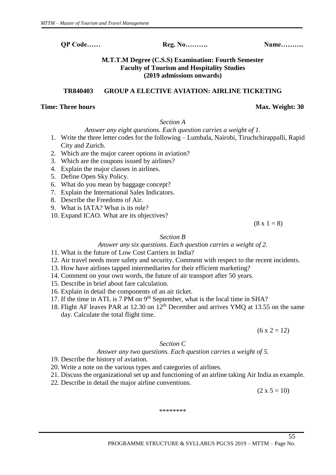# **M.T.T.M Degree (C.S.S) Examination: Fourth Semester Faculty of Tourism and Hospitality Studies (2019 admissions onwards)**

# **TR840403 GROUP A ELECTIVE AVIATION: AIRLINE TICKETING**

#### **Time: Three hours** Max. Weight: 30

#### *Section A*

# *Answer any eight questions. Each question carries a weight of 1.*

- 1. Write the three letter codes for the following Lumbala, Nairobi, Tiruchchirappalli, Rapid City and Zurich.
- 2. Which are the major career options in aviation?
- 3. Which are the coupons issued by airlines?
- 4. Explain the major classes in airlines.
- 5. Define Open Sky Policy.
- 6. What do you mean by baggage concept?
- 7. Explain the International Sales Indicators.
- 8. Describe the Freedoms of Air.
- 9. What is IATA? What is its role?
- 10. Expand ICAO. What are its objectives?

 $(8 \times 1 = 8)$ 

#### *Section B*

# *Answer any six questions. Each question carries a weight of 2.*

- 11. What is the future of Low Cost Carriers in India?
- 12. Air travel needs more safety and security. Comment with respect to the recent incidents.
- 13. How have airlines tapped intermediaries for their efficient marketing?
- 14. Comment on your own words, the future of air transport after 50 years.
- 15. Describe in brief about fare calculation.
- 16. Explain in detail the components of an air ticket.
- 17. If the time in ATL is 7 PM on 9<sup>th</sup> September, what is the local time in SHA?
- 18. Flight AF leaves PAR at 12.30 on 12th December and arrives YMQ at 13.55 on the same day. Calculate the total flight time.

 $(6 x 2 = 12)$ 

# *Section C*

# *Answer any two questions. Each question carries a weight of 5.*

- 19. Describe the history of aviation.
- 20. Write a note on the various types and categories of airlines.
- 21. Discuss the organizational set up and functioning of an airline taking Air India as example.
- 22. Describe in detail the major airline conventions.

 $(2 \times 5 = 10)$ 

\*\*\*\*\*\*\*\*

#### PROGRAMME STRUCTURE & SYLLABUS PGCSS 2019 – MTTM – Page No.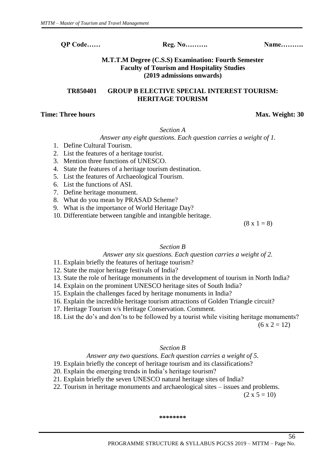# **M.T.T.M Degree (C.S.S) Examination: Fourth Semester Faculty of Tourism and Hospitality Studies (2019 admissions onwards)**

# **TR850401 GROUP B ELECTIVE SPECIAL INTEREST TOURISM: HERITAGE TOURISM**

# **Time: Three hours** Max. Weight: 30

#### *Section A*

*Answer any eight questions. Each question carries a weight of 1.* 

- 1. Define Cultural Tourism.
- 2. List the features of a heritage tourist.
- 3. Mention three functions of UNESCO.
- 4. State the features of a heritage tourism destination.
- 5. List the features of Archaeological Tourism.
- 6. List the functions of ASI.
- 7. Define heritage monument.
- 8. What do you mean by PRASAD Scheme?
- 9. What is the importance of World Heritage Day?
- 10. Differentiate between tangible and intangible heritage.

 $(8 \times 1 = 8)$ 

# *Section B*

# *Answer any six questions. Each question carries a weight of 2.*

- 11. Explain briefly the features of heritage tourism?
- 12. State the major heritage festivals of India?
- 13. State the role of heritage monuments in the development of tourism in North India?
- 14. Explain on the prominent UNESCO heritage sites of South India?
- 15. Explain the challenges faced by heritage monuments in India?
- 16. Explain the incredible heritage tourism attractions of Golden Triangle circuit?
- 17. Heritage Tourism v/s Heritage Conservation. Comment.
- 18. List the do's and don'ts to be followed by a tourist while visiting heritage monuments?

 $(6 \times 2 = 12)$ 

56

# *Section B*

# *Answer any two questions. Each question carries a weight of 5.*

- 19. Explain briefly the concept of heritage tourism and its classifications?
- 20. Explain the emerging trends in India's heritage tourism?
- 21. Explain briefly the seven UNESCO natural heritage sites of India?
- 22. Tourism in heritage monuments and archaeological sites issues and problems.

 $(2 \times 5 = 10)$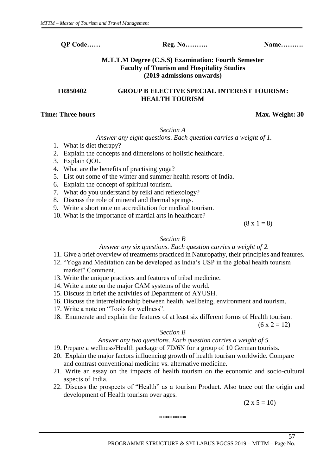# **M.T.T.M Degree (C.S.S) Examination: Fourth Semester Faculty of Tourism and Hospitality Studies (2019 admissions onwards)**

# **TR850402 GROUP B ELECTIVE SPECIAL INTEREST TOURISM: HEALTH TOURISM**

# **Time: Three hours** Max. Weight: 30

# *Section A*

# *Answer any eight questions. Each question carries a weight of 1.*

- 1. What is diet therapy?
- 2. Explain the concepts and dimensions of holistic healthcare.
- 3. Explain QOL.
- 4. What are the benefits of practising yoga?
- 5. List out some of the winter and summer health resorts of India.
- 6. Explain the concept of spiritual tourism.
- 7. What do you understand by reiki and reflexology?
- 8. Discuss the role of mineral and thermal springs.
- 9. Write a short note on accreditation for medical tourism.
- 10. What is the importance of martial arts in healthcare?

 $(8 \times 1 = 8)$ 

# *Section B*

# *Answer any six questions. Each question carries a weight of 2.*

- 11. Give a brief overview of treatments practiced in Naturopathy, their principles and features.
- 12. "Yoga and Meditation can be developed as India's USP in the global health tourism market" Comment.
- 13. Write the unique practices and features of tribal medicine.
- 14. Write a note on the major CAM systems of the world.
- 15. Discuss in brief the activities of Department of AYUSH.
- 16. Discuss the interrelationship between health, wellbeing, environment and tourism.
- 17. Write a note on "Tools for wellness".
- 18. Enumerate and explain the features of at least six different forms of Health tourism.

 $(6 x 2 = 12)$ 

# *Section B*

# *Answer any two questions. Each question carries a weight of 5.*

- 19. Prepare a wellness/Health package of 7D/6N for a group of 10 German tourists.
- 20. Explain the major factors influencing growth of health tourism worldwide. Compare and contrast conventional medicine vs. alternative medicine.
- 21. Write an essay on the impacts of health tourism on the economic and socio-cultural aspects of India.
- 22. Discuss the prospects of "Health" as a tourism Product. Also trace out the origin and development of Health tourism over ages.

 $(2 \times 5 = 10)$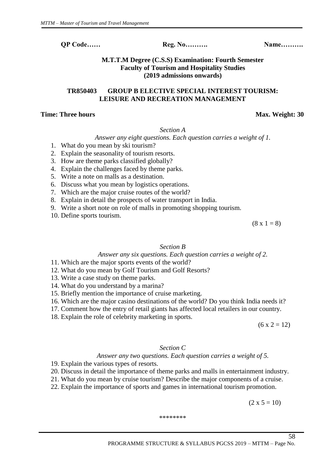# **M.T.T.M Degree (C.S.S) Examination: Fourth Semester Faculty of Tourism and Hospitality Studies (2019 admissions onwards)**

# **TR850403 GROUP B ELECTIVE SPECIAL INTEREST TOURISM: LEISURE AND RECREATION MANAGEMENT**

# **Time: Three hours** Max. Weight: 30

#### *Section A*

*Answer any eight questions. Each question carries a weight of 1.* 

- 1. What do you mean by ski tourism?
- 2. Explain the seasonality of tourism resorts.
- 3. How are theme parks classified globally?
- 4. Explain the challenges faced by theme parks.
- 5. Write a note on malls as a destination.
- 6. Discuss what you mean by logistics operations.
- 7. Which are the major cruise routes of the world?
- 8. Explain in detail the prospects of water transport in India.
- 9. Write a short note on role of malls in promoting shopping tourism.
- 10. Define sports tourism.

 $(8 \times 1 = 8)$ 

# *Section B*

#### *Answer any six questions. Each question carries a weight of 2.*

- 11. Which are the major sports events of the world?
- 12. What do you mean by Golf Tourism and Golf Resorts?
- 13. Write a case study on theme parks.
- 14. What do you understand by a marina?
- 15. Briefly mention the importance of cruise marketing.
- 16. Which are the major casino destinations of the world? Do you think India needs it?
- 17. Comment how the entry of retail giants has affected local retailers in our country.
- 18. Explain the role of celebrity marketing in sports.

 $(6 x 2 = 12)$ 

#### *Section C*

# *Answer any two questions. Each question carries a weight of 5.*

- 19. Explain the various types of resorts.
- 20. Discuss in detail the importance of theme parks and malls in entertainment industry.
- 21. What do you mean by cruise tourism? Describe the major components of a cruise.
- 22. Explain the importance of sports and games in international tourism promotion.

 $(2 \times 5 = 10)$ 

58